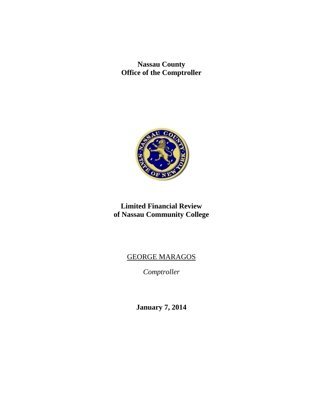**Nassau County Office of the Comptroller** 



# **Limited Financial Review of Nassau Community College**

# GEORGE MARAGOS

*Comptroller* 

**January 7, 2014**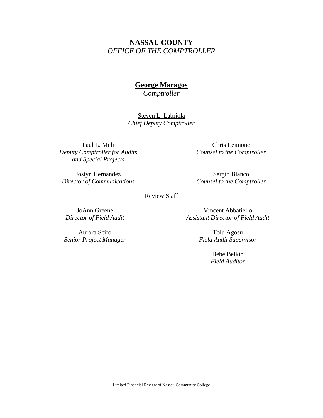# **NASSAU COUNTY**  *OFFICE OF THE COMPTROLLER*

# **George Maragos**

*Comptroller* 

Steven L. Labriola *Chief Deputy Comptroller*

Paul L. Meli *Deputy Comptroller for Audits and Special Projects* 

Chris Leimone *Counsel to the Comptroller* 

Jostyn Hernandez *Director of Communications* 

Sergio Blanco *Counsel to the Comptroller* 

#### Review Staff

JoAnn Greene *Director of Field Audit* 

Aurora Scifo *Senior Project Manager*

Vincent Abbatiello *Assistant Director of Field Audit* 

> Tolu Agosu *Field Audit Supervisor*

> > Bebe Belkin *Field Auditor*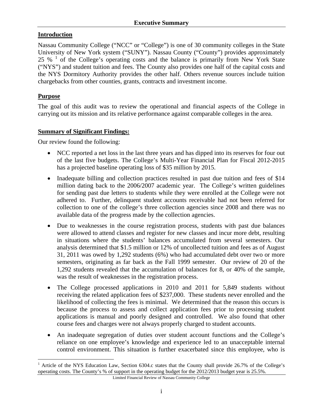### **Introduction**

Nassau Community College ("NCC" or "College") is one of 30 community colleges in the State University of New York system ("SUNY"). Nassau County ("County") provides approximately 25 % <sup>1</sup> of the College's operating costs and the balance is primarily from New York State ("NYS") and student tuition and fees. The County also provides one half of the capital costs and the NYS Dormitory Authority provides the other half. Others revenue sources include tuition chargebacks from other counties, grants, contracts and investment income.

## **Purpose**

The goal of this audit was to review the operational and financial aspects of the College in carrying out its mission and its relative performance against comparable colleges in the area.

#### **Summary of Significant Findings:**

Our review found the following:

- NCC reported a net loss in the last three years and has dipped into its reserves for four out of the last five budgets. The College's Multi-Year Financial Plan for Fiscal 2012-2015 has a projected baseline operating loss of \$35 million by 2015.
- Inadequate billing and collection practices resulted in past due tuition and fees of \$14 million dating back to the 2006/2007 academic year. The College's written guidelines for sending past due letters to students while they were enrolled at the College were not adhered to. Further, delinquent student accounts receivable had not been referred for collection to one of the college's three collection agencies since 2008 and there was no available data of the progress made by the collection agencies.
- Due to weaknesses in the course registration process, students with past due balances were allowed to attend classes and register for new classes and incur more debt, resulting in situations where the students' balances accumulated from several semesters. Our analysis determined that \$1.5 million or 12% of uncollected tuition and fees as of August 31, 2011 was owed by 1,292 students (6%) who had accumulated debt over two or more semesters, originating as far back as the Fall 1999 semester. Our review of 20 of the 1,292 students revealed that the accumulation of balances for 8, or 40% of the sample, was the result of weaknesses in the registration process.
- The College processed applications in 2010 and 2011 for 5,849 students without receiving the related application fees of \$237,000. These students never enrolled and the likelihood of collecting the fees is minimal. We determined that the reason this occurs is because the process to assess and collect application fees prior to processing student applications is manual and poorly designed and controlled. We also found that other course fees and charges were not always properly charged to student accounts.
- An inadequate segregation of duties over student account functions and the College's reliance on one employee's knowledge and experience led to an unacceptable internal control environment. This situation is further exacerbated since this employee, who is

 $\overline{a}$ 1 Article of the NYS Education Law, Section 6304.c states that the County shall provide 26.7% of the College's operating costs. The County's % of support in the operating budget for the 2012/2013 budget year is 25.5%.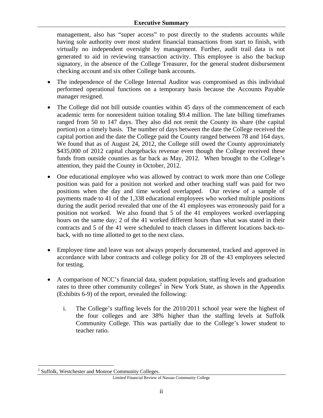#### **Executive Summary**

management, also has "super access" to post directly to the students accounts while having sole authority over most student financial transactions from start to finish, with virtually no independent oversight by management. Further, audit trail data is not generated to aid in reviewing transaction activity. This employee is also the backup signatory, in the absence of the College Treasurer, for the general student disbursement checking account and six other College bank accounts.

- The independence of the College Internal Auditor was compromised as this individual performed operational functions on a temporary basis because the Accounts Payable manager resigned.
- The College did not bill outside counties within 45 days of the commencement of each academic term for nonresident tuition totaling \$9.4 million. The late billing timeframes ranged from 50 to 147 days. They also did not remit the County its share (the capital portion) on a timely basis. The number of days between the date the College received the capital portion and the date the College paid the County ranged between 78 and 164 days. We found that as of August 24, 2012, the College still owed the County approximately \$435,000 of 2012 capital chargebacks revenue even though the College received these funds from outside counties as far back as May, 2012. When brought to the College's attention, they paid the County in October, 2012.
- One educational employee who was allowed by contract to work more than one College position was paid for a position not worked and other teaching staff was paid for two positions when the day and time worked overlapped. Our review of a sample of payments made to 41 of the 1,338 educational employees who worked multiple positions during the audit period revealed that one of the 41 employees was erroneously paid for a position not worked. We also found that 5 of the 41 employees worked overlapping hours on the same day; 2 of the 41 worked different hours than what was stated in their contracts and 5 of the 41 were scheduled to teach classes in different locations back-toback, with no time allotted to get to the next class.
- Employee time and leave was not always properly documented, tracked and approved in accordance with labor contracts and college policy for 28 of the 43 employees selected for testing.
- A comparison of NCC's financial data, student population, staffing levels and graduation rates to three other community colleges<sup>2</sup> in New York State, as shown in the Appendix (Exhibits 6-9) of the report, revealed the following:
	- i. The College's staffing levels for the 2010/2011 school year were the highest of the four colleges and are 38% higher than the staffing levels at Suffolk Community College. This was partially due to the College's lower student to teacher ratio.

 $\overline{a}$ <sup>2</sup> Suffolk, Westchester and Monroe Community Colleges.

Limited Financial Review of Nassau Community College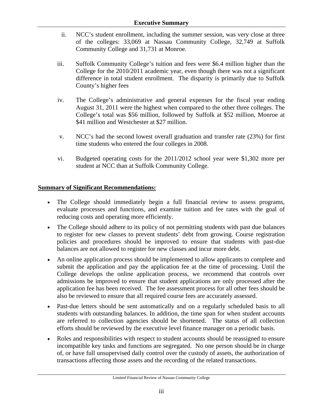- ii. NCC's student enrollment, including the summer session, was very close at three of the colleges: 33,069 at Nassau Community College, 32,749 at Suffolk Community College and 31,731 at Monroe.
- iii. Suffolk Community College's tuition and fees were \$6.4 million higher than the College for the 2010/2011 academic year, even though there was not a significant difference in total student enrollment. The disparity is primarily due to Suffolk County's higher fees
- iv. The College's administrative and general expenses for the fiscal year ending August 31, 2011 were the highest when compared to the other three colleges. The College's total was \$56 million, followed by Suffolk at \$52 million, Monroe at \$41 million and Westchester at \$27 million.
- v. NCC's had the second lowest overall graduation and transfer rate (23%) for first time students who entered the four colleges in 2008.
- vi. Budgeted operating costs for the 2011/2012 school year were \$1,302 more per student at NCC than at Suffolk Community College.

# **Summary of Significant Recommendations:**

- The College should immediately begin a full financial review to assess programs, evaluate processes and functions, and examine tuition and fee rates with the goal of reducing costs and operating more efficiently.
- The College should adhere to its policy of not permitting students with past due balances to register for new classes to prevent students' debt from growing. Course registration policies and procedures should be improved to ensure that students with past-due balances are not allowed to register for new classes and incur more debt.
- An online application process should be implemented to allow applicants to complete and submit the application and pay the application fee at the time of processing. Until the College develops the online application process, we recommend that controls over admissions be improved to ensure that student applications are only processed after the application fee has been received. The fee assessment process for all other fees should be also be reviewed to ensure that all required course fees are accurately assessed.
- Past-due letters should be sent automatically and on a regularly scheduled basis to all students with outstanding balances. In addition, the time span for when student accounts are referred to collection agencies should be shortened. The status of all collection efforts should be reviewed by the executive level finance manager on a periodic basis.
- Roles and responsibilities with respect to student accounts should be reassigned to ensure incompatible key tasks and functions are segregated. No one person should be in charge of, or have full unsupervised daily control over the custody of assets, the authorization of transactions affecting those assets and the recording of the related transactions.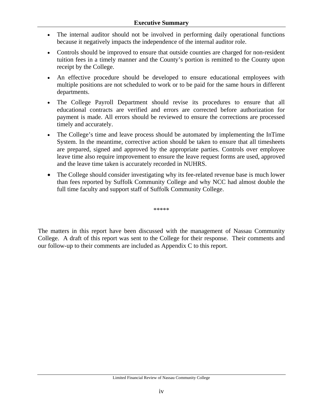- The internal auditor should not be involved in performing daily operational functions because it negatively impacts the independence of the internal auditor role.
- Controls should be improved to ensure that outside counties are charged for non-resident tuition fees in a timely manner and the County's portion is remitted to the County upon receipt by the College.
- An effective procedure should be developed to ensure educational employees with multiple positions are not scheduled to work or to be paid for the same hours in different departments.
- The College Payroll Department should revise its procedures to ensure that all educational contracts are verified and errors are corrected before authorization for payment is made. All errors should be reviewed to ensure the corrections are processed timely and accurately.
- The College's time and leave process should be automated by implementing the InTime System. In the meantime, corrective action should be taken to ensure that all timesheets are prepared, signed and approved by the appropriate parties. Controls over employee leave time also require improvement to ensure the leave request forms are used, approved and the leave time taken is accurately recorded in NUHRS.
- The College should consider investigating why its fee-related revenue base is much lower than fees reported by Suffolk Community College and why NCC had almost double the full time faculty and support staff of Suffolk Community College.

\*\*\*\*\*

The matters in this report have been discussed with the management of Nassau Community College. A draft of this report was sent to the College for their response. Their comments and our follow-up to their comments are included as Appendix C to this report.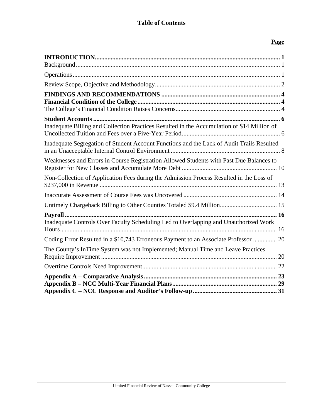# **Page**

| Inadequate Billing and Collection Practices Resulted in the Accumulation of \$14 Million of |
|---------------------------------------------------------------------------------------------|
| Inadequate Segregation of Student Account Functions and the Lack of Audit Trails Resulted   |
| Weaknesses and Errors in Course Registration Allowed Students with Past Due Balances to     |
| Non-Collection of Application Fees during the Admission Process Resulted in the Loss of     |
|                                                                                             |
|                                                                                             |
|                                                                                             |
| Inadequate Controls Over Faculty Scheduling Led to Overlapping and Unauthorized Work        |
| Coding Error Resulted in a \$10,743 Erroneous Payment to an Associate Professor  20         |
| The County's InTime System was not Implemented; Manual Time and Leave Practices             |
|                                                                                             |
|                                                                                             |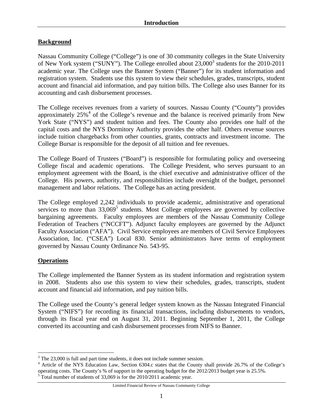# **Background**

Nassau Community College ("College") is one of 30 community colleges in the State University of New York system ("SUNY"). The College enrolled about 23,000<sup>3</sup> students for the 2010-2011 academic year. The College uses the Banner System ("Banner") for its student information and registration system. Students use this system to view their schedules, grades, transcripts, student account and financial aid information, and pay tuition bills. The College also uses Banner for its accounting and cash disbursement processes.

The College receives revenues from a variety of sources. Nassau County ("County") provides approximately  $25\%$ <sup>4</sup> of the College's revenue and the balance is received primarily from New York State ("NYS") and student tuition and fees. The County also provides one half of the capital costs and the NYS Dormitory Authority provides the other half. Others revenue sources include tuition chargebacks from other counties, grants, contracts and investment income. The College Bursar is responsible for the deposit of all tuition and fee revenues.

The College Board of Trustees ("Board") is responsible for formulating policy and overseeing College fiscal and academic operations. The College President, who serves pursuant to an employment agreement with the Board, is the chief executive and administrative officer of the College. His powers, authority, and responsibilities include oversight of the budget, personnel management and labor relations. The College has an acting president.

The College employed 2,242 individuals to provide academic, administrative and operational services to more than 33,069<sup>5</sup> students. Most College employees are governed by collective bargaining agreements. Faculty employees are members of the Nassau Community College Federation of Teachers ("NCCFT"). Adjunct faculty employees are governed by the Adjunct Faculty Association ("AFA"). Civil Service employees are members of Civil Service Employees Association, Inc. ("CSEA") Local 830. Senior administrators have terms of employment governed by Nassau County Ordinance No. 543-95.

#### **Operations**

The College implemented the Banner System as its student information and registration system in 2008. Students also use this system to view their schedules, grades, transcripts, student account and financial aid information, and pay tuition bills.

The College used the County's general ledger system known as the Nassau Integrated Financial System ("NIFS") for recording its financial transactions, including disbursements to vendors, through its fiscal year end on August 31, 2011. Beginning September 1, 2011, the College converted its accounting and cash disbursement processes from NIFS to Banner.

<sup>&</sup>lt;sup>3</sup> The 23,000 is full and part time students, it does not include summer session.

<sup>&</sup>lt;sup>4</sup> Article of the NYS Education Law, Section 6304.c states that the County shall provide 26.7% of the College's operating costs. The County's % of support in the operating budget for the 2012/2013 budget year is 25.5%.

 $5$  Total number of students of 33,069 is for the 2010/2011 academic year.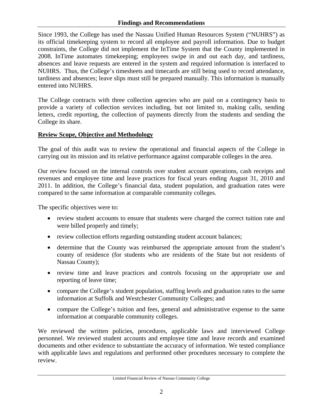Since 1993, the College has used the Nassau Unified Human Resources System ("NUHRS") as its official timekeeping system to record all employee and payroll information. Due to budget constraints, the College did not implement the InTime System that the County implemented in 2008. InTime automates timekeeping; employees swipe in and out each day, and tardiness, absences and leave requests are entered in the system and required information is interfaced to NUHRS. Thus, the College's timesheets and timecards are still being used to record attendance, tardiness and absences; leave slips must still be prepared manually. This information is manually entered into NUHRS.

The College contracts with three collection agencies who are paid on a contingency basis to provide a variety of collection services including, but not limited to, making calls, sending letters, credit reporting, the collection of payments directly from the students and sending the College its share.

# **Review Scope, Objective and Methodology**

The goal of this audit was to review the operational and financial aspects of the College in carrying out its mission and its relative performance against comparable colleges in the area.

Our review focused on the internal controls over student account operations, cash receipts and revenues and employee time and leave practices for fiscal years ending August 31, 2010 and 2011. In addition, the College's financial data, student population, and graduation rates were compared to the same information at comparable community colleges.

The specific objectives were to:

- review student accounts to ensure that students were charged the correct tuition rate and were billed properly and timely;
- review collection efforts regarding outstanding student account balances;
- determine that the County was reimbursed the appropriate amount from the student's county of residence (for students who are residents of the State but not residents of Nassau County);
- review time and leave practices and controls focusing on the appropriate use and reporting of leave time;
- compare the College's student population, staffing levels and graduation rates to the same information at Suffolk and Westchester Community Colleges; and
- compare the College's tuition and fees, general and administrative expense to the same information at comparable community colleges.

We reviewed the written policies, procedures, applicable laws and interviewed College personnel. We reviewed student accounts and employee time and leave records and examined documents and other evidence to substantiate the accuracy of information. We tested compliance with applicable laws and regulations and performed other procedures necessary to complete the review.

Limited Financial Review of Nassau Community College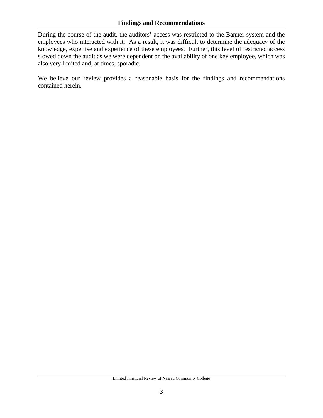#### **Findings and Recommendations**

During the course of the audit, the auditors' access was restricted to the Banner system and the employees who interacted with it. As a result, it was difficult to determine the adequacy of the knowledge, expertise and experience of these employees. Further, this level of restricted access slowed down the audit as we were dependent on the availability of one key employee, which was also very limited and, at times, sporadic.

We believe our review provides a reasonable basis for the findings and recommendations contained herein.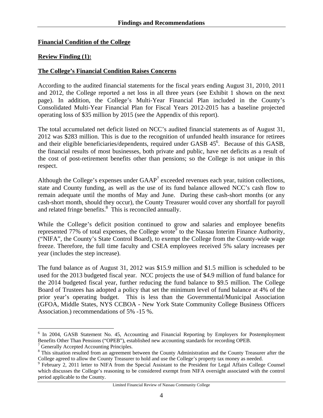#### **Financial Condition of the College**

#### **Review Finding (1):**

#### **The College's Financial Condition Raises Concerns**

According to the audited financial statements for the fiscal years ending August 31, 2010, 2011 and 2012, the College reported a net loss in all three years (see Exhibit 1 shown on the next page). In addition, the College's Multi-Year Financial Plan included in the County's Consolidated Multi-Year Financial Plan for Fiscal Years 2012-2015 has a baseline projected operating loss of \$35 million by 2015 (see the Appendix of this report).

The total accumulated net deficit listed on NCC's audited financial statements as of August 31, 2012 was \$283 million. This is due to the recognition of unfunded health insurance for retirees and their eligible beneficiaries/dependents, required under GASB  $45<sup>6</sup>$ . Because of this GASB, the financial results of most businesses, both private and public, have net deficits as a result of the cost of post-retirement benefits other than pensions; so the College is not unique in this respect.

Although the College's expenses under  $GAAP<sup>7</sup>$  exceeded revenues each year, tuition collections, state and County funding, as well as the use of its fund balance allowed NCC's cash flow to remain adequate until the months of May and June. During these cash-short months (or any cash-short month, should they occur), the County Treasurer would cover any shortfall for payroll and related fringe benefits.<sup>8</sup> This is reconciled annually.

While the College's deficit position continued to grow and salaries and employee benefits represented 77% of total expenses, the College wrote<sup>9</sup> to the Nassau Interim Finance Authority, ("NIFA", the County's State Control Board), to exempt the College from the County-wide wage freeze. Therefore, the full time faculty and CSEA employees received 5% salary increases per year (includes the step increase).

The fund balance as of August 31, 2012 was \$15.9 million and \$1.5 million is scheduled to be used for the 2013 budgeted fiscal year. NCC projects the use of \$4.9 million of fund balance for the 2014 budgeted fiscal year, further reducing the fund balance to \$9.5 million. The College Board of Trustees has adopted a policy that set the minimum level of fund balance at 4% of the prior year's operating budget. This is less than the Governmental/Municipal Association (GFOA, Middle States, NYS CCBOA - New York State Community College Business Officers Association.) recommendations of 5% -15 %.

 $\overline{a}$ 

<sup>&</sup>lt;sup>6</sup> In 2004, GASB Statement No. 45, Accounting and Financial Reporting by Employers for Postemployment Benefits Other Than Pensions ("OPEB"), established new accounting standards for recording OPEB.

<sup>&</sup>lt;sup>7</sup> Generally Accepted Accounting Principles.

 $8$  This situation resulted from an agreement between the County Administration and the County Treasurer after the College agreed to allow the County Treasurer to hold and use the College's property tax money as needed.

<sup>&</sup>lt;sup>9</sup> February 2, 2011 letter to NIFA from the Special Assistant to the President for Legal Affairs College Counsel which discusses the College's reasoning to be considered exempt from NIFA oversight associated with the control period applicable to the County.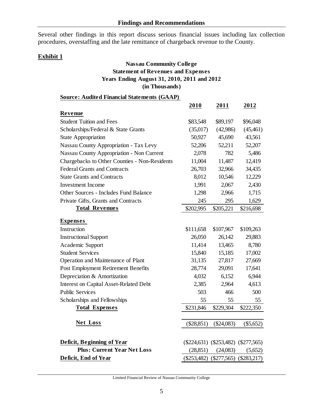Several other findings in this report discuss serious financial issues including lax collection procedures, overstaffing and the late remittance of chargeback revenue to the County.

## **Exhibit 1**

#### **Nassau Community College Statement of Revenues and Expenses Years Ending August 31, 2010, 2011 and 2012 (in Thousands)**

| <b>Source: Audited Financial Statements (GAAP)</b> |              |                                           |             |
|----------------------------------------------------|--------------|-------------------------------------------|-------------|
|                                                    | 2010         | 2011                                      | 2012        |
| Revenue                                            |              |                                           |             |
| <b>Student Tuition and Fees</b>                    | \$83,548     | \$89,197                                  | \$96,048    |
| Scholarships/Federal & State Grants                | (35,017)     | (42,986)                                  | (45, 461)   |
| <b>State Appropriation</b>                         | 50,927       | 45,690                                    | 43,561      |
| Nassau County Appropriation - Tax Levy             | 52,206       | 52,211                                    | 52,207      |
| Nassau County Appropriation - Non Current          | 2,078        | 782                                       | 5,486       |
| Chargebacks to Other Counties - Non-Residents      | 11,004       | 11,487                                    | 12,419      |
| <b>Federal Grants and Contracts</b>                | 26,703       | 32,966                                    | 34,435      |
| <b>State Grants and Contracts</b>                  | 8,012        | 10,546                                    | 12,229      |
| <b>Investment Income</b>                           | 1,991        | 2,067                                     | 2,430       |
| Other Sources - Includes Fund Balance              | 1,298        | 2,966                                     | 1,715       |
| Private Gifts, Grants and Contracts                | 245          | 295                                       | 1,629       |
| <b>Total Revenues</b>                              | \$202,995    | \$205,221                                 | \$216,698   |
| <b>Expenses</b>                                    |              |                                           |             |
| Instruction                                        | \$111,658    | \$107,967                                 | \$109,263   |
| <b>Instructional Support</b>                       | 26,050       | 26,142                                    | 29,883      |
| Academic Support                                   | 11,414       | 13,465                                    | 8,780       |
| <b>Student Services</b>                            | 15,840       | 15,185                                    | 17,002      |
| Operation and Maintenance of Plant                 | 31,135       | 27,817                                    | 27,669      |
| Post Employment Retirement Benefits                | 28,774       | 29,091                                    | 17,641      |
| Depreciation & Amortization                        | 4,032        | 6,152                                     | 6,944       |
| <b>Interest on Capital Asset-Related Debt</b>      | 2,385        | 2,964                                     | 4,613       |
| <b>Public Services</b>                             | 503          | 466                                       | 500         |
| Scholarships and Fellowships                       | 55           | 55                                        | 55          |
| <b>Total Expenses</b>                              | \$231,846    | \$229,304                                 | \$222,350   |
| Net Loss                                           | $(\$28,851)$ | (\$24,083)                                | $(\$5,652)$ |
| <b>Deficit, Beginning of Year</b>                  |              | $(\$224,631)$ $(\$253,482)$ $(\$277,565)$ |             |
| <b>Plus: Current Year Net Loss</b>                 | (28, 851)    | (24,083)                                  | (5,652)     |
| Deficit, End of Year                               |              | (\$253,482) (\$277,565) (\$283,217)       |             |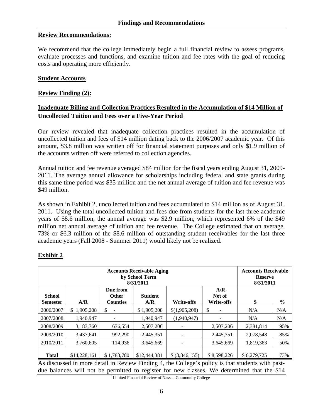#### **Review Recommendations:**

We recommend that the college immediately begin a full financial review to assess programs, evaluate processes and functions, and examine tuition and fee rates with the goal of reducing costs and operating more efficiently.

#### **Student Accounts**

#### **Review Finding (2):**

# **Inadequate Billing and Collection Practices Resulted in the Accumulation of \$14 Million of Uncollected Tuition and Fees over a Five-Year Period**

Our review revealed that inadequate collection practices resulted in the accumulation of uncollected tuition and fees of \$14 million dating back to the 2006/2007 academic year. Of this amount, \$3.8 million was written off for financial statement purposes and only \$1.9 million of the accounts written off were referred to collection agencies.

Annual tuition and fee revenue averaged \$84 million for the fiscal years ending August 31, 2009- 2011. The average annual allowance for scholarships including federal and state grants during this same time period was \$35 million and the net annual average of tuition and fee revenue was \$49 million.

As shown in Exhibit 2, uncollected tuition and fees accumulated to \$14 million as of August 31, 2011. Using the total uncollected tuition and fees due from students for the last three academic years of \$8.6 million, the annual average was \$2.9 million, which represented 6% of the \$49 million net annual average of tuition and fee revenue. The College estimated that on average, 73% or \$6.3 million of the \$8.6 million of outstanding student receivables for the last three academic years (Fall 2008 - Summer 2011) would likely not be realized.

|                                  | <b>Accounts Receivable</b><br><b>Reserve</b><br>8/31/2011 |                                             |                       |                          |                                    |             |               |
|----------------------------------|-----------------------------------------------------------|---------------------------------------------|-----------------------|--------------------------|------------------------------------|-------------|---------------|
| <b>School</b><br><b>Semester</b> | A/R                                                       | Due from<br><b>Other</b><br><b>Counties</b> | <b>Student</b><br>A/R | <b>Write-offs</b>        | A/R<br>Net of<br><b>Write-offs</b> | \$          | $\frac{6}{9}$ |
| 2006/2007                        | 1,905,208<br>\$.                                          | \$                                          | \$1,905,208           | \$(1,905,208)            | \$                                 | N/A         | N/A           |
| 2007/2008                        | 1.940.947                                                 |                                             | 1.940.947             | (1,940,947)              |                                    | N/A         | N/A           |
| 2008/2009                        | 3.183.760                                                 | 676.554                                     | 2,507,206             |                          | 2,507,206                          | 2,381,814   | 95%           |
| 2009/2010                        | 3.437.641                                                 | 992,290                                     | 2,445,351             | $\overline{\phantom{a}}$ | 2,445,351                          | 2,078,548   | 85%           |
| 2010/2011                        | 3,760,605                                                 | 114,936                                     | 3,645,669             | $\overline{a}$           | 3,645,669                          | 1,819,363   | 50%           |
| <b>Total</b>                     | \$14,228,161                                              | \$1,783,780                                 | \$12,444,381          | $$$ $(3,846,155)$        | \$8,598,226                        | \$6.279.725 | 73%           |

# **Exhibit 2**

As discussed in more detail in Review Finding 4, the College's policy is that students with pastdue balances will not be permitted to register for new classes. We determined that the \$14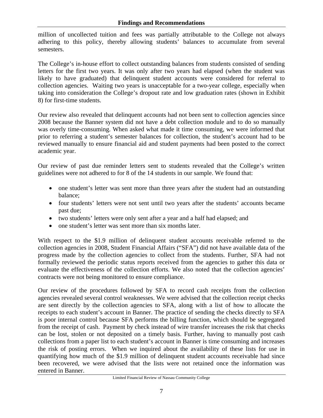million of uncollected tuition and fees was partially attributable to the College not always adhering to this policy, thereby allowing students' balances to accumulate from several semesters.

The College's in-house effort to collect outstanding balances from students consisted of sending letters for the first two years. It was only after two years had elapsed (when the student was likely to have graduated) that delinquent student accounts were considered for referral to collection agencies. Waiting two years is unacceptable for a two-year college, especially when taking into consideration the College's dropout rate and low graduation rates (shown in Exhibit 8) for first-time students.

Our review also revealed that delinquent accounts had not been sent to collection agencies since 2008 because the Banner system did not have a debt collection module and to do so manually was overly time-consuming. When asked what made it time consuming, we were informed that prior to referring a student's semester balances for collection, the student's account had to be reviewed manually to ensure financial aid and student payments had been posted to the correct academic year.

Our review of past due reminder letters sent to students revealed that the College's written guidelines were not adhered to for 8 of the 14 students in our sample. We found that:

- one student's letter was sent more than three years after the student had an outstanding balance;
- four students' letters were not sent until two years after the students' accounts became past due;
- two students' letters were only sent after a year and a half had elapsed; and
- one student's letter was sent more than six months later.

With respect to the \$1.9 million of delinquent student accounts receivable referred to the collection agencies in 2008, Student Financial Affairs ("SFA") did not have available data of the progress made by the collection agencies to collect from the students. Further, SFA had not formally reviewed the periodic status reports received from the agencies to gather this data or evaluate the effectiveness of the collection efforts. We also noted that the collection agencies' contracts were not being monitored to ensure compliance.

Our review of the procedures followed by SFA to record cash receipts from the collection agencies revealed several control weaknesses. We were advised that the collection receipt checks are sent directly by the collection agencies to SFA, along with a list of how to allocate the receipts to each student's account in Banner. The practice of sending the checks directly to SFA is poor internal control because SFA performs the billing function, which should be segregated from the receipt of cash. Payment by check instead of wire transfer increases the risk that checks can be lost, stolen or not deposited on a timely basis. Further, having to manually post cash collections from a paper list to each student's account in Banner is time consuming and increases the risk of posting errors. When we inquired about the availability of these lists for use in quantifying how much of the \$1.9 million of delinquent student accounts receivable had since been recovered, we were advised that the lists were not retained once the information was entered in Banner.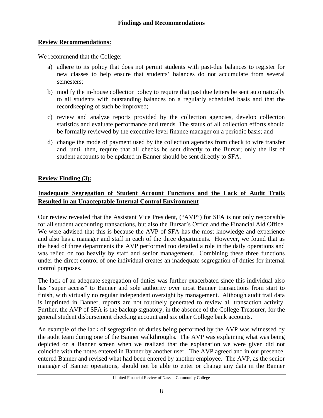#### **Review Recommendations:**

We recommend that the College:

- a) adhere to its policy that does not permit students with past-due balances to register for new classes to help ensure that students' balances do not accumulate from several semesters;
- b) modify the in-house collection policy to require that past due letters be sent automatically to all students with outstanding balances on a regularly scheduled basis and that the recordkeeping of such be improved;
- c) review and analyze reports provided by the collection agencies, develop collection statistics and evaluate performance and trends. The status of all collection efforts should be formally reviewed by the executive level finance manager on a periodic basis; and
- d) change the mode of payment used by the collection agencies from check to wire transfer and. until then, require that all checks be sent directly to the Bursar; only the list of student accounts to be updated in Banner should be sent directly to SFA.

## **Review Finding (3):**

# **Inadequate Segregation of Student Account Functions and the Lack of Audit Trails Resulted in an Unacceptable Internal Control Environment**

Our review revealed that the Assistant Vice President, ("AVP") for SFA is not only responsible for all student accounting transactions, but also the Bursar's Office and the Financial Aid Office. We were advised that this is because the AVP of SFA has the most knowledge and experience and also has a manager and staff in each of the three departments. However, we found that as the head of three departments the AVP performed too detailed a role in the daily operations and was relied on too heavily by staff and senior management. Combining these three functions under the direct control of one individual creates an inadequate segregation of duties for internal control purposes.

The lack of an adequate segregation of duties was further exacerbated since this individual also has "super access" to Banner and sole authority over most Banner transactions from start to finish, with virtually no regular independent oversight by management. Although audit trail data is imprinted in Banner, reports are not routinely generated to review all transaction activity. Further, the AVP of SFA is the backup signatory, in the absence of the College Treasurer, for the general student disbursement checking account and six other College bank accounts.

An example of the lack of segregation of duties being performed by the AVP was witnessed by the audit team during one of the Banner walkthroughs. The AVP was explaining what was being depicted on a Banner screen when we realized that the explanation we were given did not coincide with the notes entered in Banner by another user. The AVP agreed and in our presence, entered Banner and revised what had been entered by another employee. The AVP, as the senior manager of Banner operations, should not be able to enter or change any data in the Banner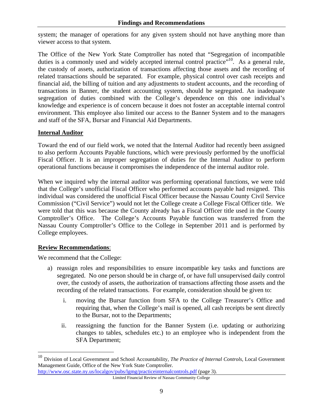system; the manager of operations for any given system should not have anything more than viewer access to that system.

The Office of the New York State Comptroller has noted that "Segregation of incompatible duties is a commonly used and widely accepted internal control practice.<sup> $10$ </sup>. As a general rule, the custody of assets, authorization of transactions affecting those assets and the recording of related transactions should be separated. For example, physical control over cash receipts and financial aid, the billing of tuition and any adjustments to student accounts, and the recording of transactions in Banner, the student accounting system, should be segregated. An inadequate segregation of duties combined with the College's dependence on this one individual's knowledge and experience is of concern because it does not foster an acceptable internal control environment. This employee also limited our access to the Banner System and to the managers and staff of the SFA, Bursar and Financial Aid Departments.

## **Internal Auditor**

Toward the end of our field work, we noted that the Internal Auditor had recently been assigned to also perform Accounts Payable functions, which were previously performed by the unofficial Fiscal Officer. It is an improper segregation of duties for the Internal Auditor to perform operational functions because it compromises the independence of the internal auditor role.

When we inquired why the internal auditor was performing operational functions, we were told that the College's unofficial Fiscal Officer who performed accounts payable had resigned. This individual was considered the unofficial Fiscal Officer because the Nassau County Civil Service Commission ("Civil Service") would not let the College create a College Fiscal Officer title. We were told that this was because the County already has a Fiscal Officer title used in the County Comptroller's Office. The College's Accounts Payable function was transferred from the Nassau County Comptroller's Office to the College in September 2011 and is performed by College employees.

#### **Review Recommendations**:

 $\overline{a}$ 

We recommend that the College:

- a) reassign roles and responsibilities to ensure incompatible key tasks and functions are segregated. No one person should be in charge of, or have full unsupervised daily control over, the custody of assets, the authorization of transactions affecting those assets and the recording of the related transactions. For example, consideration should be given to:
	- i. moving the Bursar function from SFA to the College Treasurer's Office and requiring that, when the College's mail is opened, all cash receipts be sent directly to the Bursar, not to the Departments;
	- ii. reassigning the function for the Banner System (i.e. updating or authorizing changes to tables, schedules etc.) to an employee who is independent from the SFA Department;

<sup>10</sup> Division of Local Government and School Accountability, *The Practice of Internal Controls*, Local Government Management Guide, Office of the New York State Comptroller. http://www.osc.state.ny.us/localgov/pubs/lgmg/practiceinternalcontrols.pdf (page 3).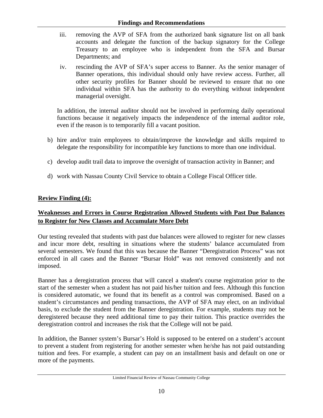- iii. removing the AVP of SFA from the authorized bank signature list on all bank accounts and delegate the function of the backup signatory for the College Treasury to an employee who is independent from the SFA and Bursar Departments; and
- iv. rescinding the AVP of SFA's super access to Banner. As the senior manager of Banner operations, this individual should only have review access. Further, all other security profiles for Banner should be reviewed to ensure that no one individual within SFA has the authority to do everything without independent managerial oversight.

In addition, the internal auditor should not be involved in performing daily operational functions because it negatively impacts the independence of the internal auditor role, even if the reason is to temporarily fill a vacant position.

- b) hire and/or train employees to obtain/improve the knowledge and skills required to delegate the responsibility for incompatible key functions to more than one individual.
- c) develop audit trail data to improve the oversight of transaction activity in Banner; and
- d) work with Nassau County Civil Service to obtain a College Fiscal Officer title.

## **Review Finding (4):**

# **Weaknesses and Errors in Course Registration Allowed Students with Past Due Balances to Register for New Classes and Accumulate More Debt**

Our testing revealed that students with past due balances were allowed to register for new classes and incur more debt, resulting in situations where the students' balance accumulated from several semesters. We found that this was because the Banner "Deregistration Process" was not enforced in all cases and the Banner "Bursar Hold" was not removed consistently and not imposed.

Banner has a deregistration process that will cancel a student's course registration prior to the start of the semester when a student has not paid his/her tuition and fees. Although this function is considered automatic, we found that its benefit as a control was compromised. Based on a student's circumstances and pending transactions, the AVP of SFA may elect, on an individual basis, to exclude the student from the Banner deregistration. For example, students may not be deregistered because they need additional time to pay their tuition. This practice overrides the deregistration control and increases the risk that the College will not be paid.

In addition, the Banner system's Bursar's Hold is supposed to be entered on a student's account to prevent a student from registering for another semester when he/she has not paid outstanding tuition and fees. For example, a student can pay on an installment basis and default on one or more of the payments.

Limited Financial Review of Nassau Community College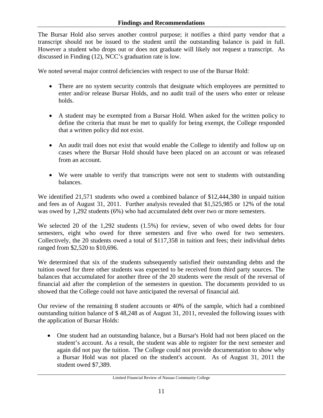The Bursar Hold also serves another control purpose; it notifies a third party vendor that a transcript should not be issued to the student until the outstanding balance is paid in full. However a student who drops out or does not graduate will likely not request a transcript. As discussed in Finding (12), NCC's graduation rate is low.

We noted several major control deficiencies with respect to use of the Bursar Hold:

- There are no system security controls that designate which employees are permitted to enter and/or release Bursar Holds, and no audit trail of the users who enter or release holds.
- A student may be exempted from a Bursar Hold. When asked for the written policy to define the criteria that must be met to qualify for being exempt, the College responded that a written policy did not exist.
- An audit trail does not exist that would enable the College to identify and follow up on cases where the Bursar Hold should have been placed on an account or was released from an account.
- We were unable to verify that transcripts were not sent to students with outstanding balances.

We identified 21,571 students who owed a combined balance of \$12,444,380 in unpaid tuition and fees as of August 31, 2011. Further analysis revealed that \$1,525,985 or 12% of the total was owed by 1,292 students (6%) who had accumulated debt over two or more semesters.

We selected 20 of the 1,292 students (1.5%) for review, seven of who owed debts for four semesters, eight who owed for three semesters and five who owed for two semesters. Collectively, the 20 students owed a total of \$117,358 in tuition and fees; their individual debts ranged from \$2,520 to \$10,696.

We determined that six of the students subsequently satisfied their outstanding debts and the tuition owed for three other students was expected to be received from third party sources. The balances that accumulated for another three of the 20 students were the result of the reversal of financial aid after the completion of the semesters in question. The documents provided to us showed that the College could not have anticipated the reversal of financial aid.

Our review of the remaining 8 student accounts or 40% of the sample, which had a combined outstanding tuition balance of \$ 48,248 as of August 31, 2011, revealed the following issues with the application of Bursar Holds:

• One student had an outstanding balance, but a Bursar's Hold had not been placed on the student's account. As a result, the student was able to register for the next semester and again did not pay the tuition. The College could not provide documentation to show why a Bursar Hold was not placed on the student's account. As of August 31, 2011 the student owed \$7,389.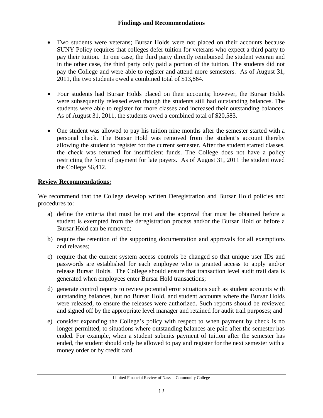- Two students were veterans; Bursar Holds were not placed on their accounts because SUNY Policy requires that colleges defer tuition for veterans who expect a third party to pay their tuition. In one case, the third party directly reimbursed the student veteran and in the other case, the third party only paid a portion of the tuition. The students did not pay the College and were able to register and attend more semesters. As of August 31, 2011, the two students owed a combined total of \$13,864.
- Four students had Bursar Holds placed on their accounts; however, the Bursar Holds were subsequently released even though the students still had outstanding balances. The students were able to register for more classes and increased their outstanding balances. As of August 31, 2011, the students owed a combined total of \$20,583.
- One student was allowed to pay his tuition nine months after the semester started with a personal check. The Bursar Hold was removed from the student's account thereby allowing the student to register for the current semester. After the student started classes, the check was returned for insufficient funds. The College does not have a policy restricting the form of payment for late payers. As of August 31, 2011 the student owed the College \$6,412.

## **Review Recommendations:**

We recommend that the College develop written Deregistration and Bursar Hold policies and procedures to:

- a) define the criteria that must be met and the approval that must be obtained before a student is exempted from the deregistration process and/or the Bursar Hold or before a Bursar Hold can be removed;
- b) require the retention of the supporting documentation and approvals for all exemptions and releases;
- c) require that the current system access controls be changed so that unique user IDs and passwords are established for each employee who is granted access to apply and/or release Bursar Holds. The College should ensure that transaction level audit trail data is generated when employees enter Bursar Hold transactions;
- d) generate control reports to review potential error situations such as student accounts with outstanding balances, but no Bursar Hold, and student accounts where the Bursar Holds were released, to ensure the releases were authorized. Such reports should be reviewed and signed off by the appropriate level manager and retained for audit trail purposes; and
- e) consider expanding the College's policy with respect to when payment by check is no longer permitted, to situations where outstanding balances are paid after the semester has ended. For example, when a student submits payment of tuition after the semester has ended, the student should only be allowed to pay and register for the next semester with a money order or by credit card.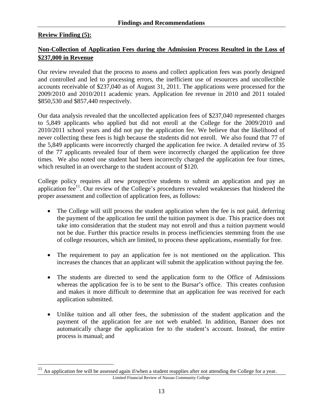#### **Review Finding (5):**

1

## **Non-Collection of Application Fees during the Admission Process Resulted in the Loss of \$237,000 in Revenue**

Our review revealed that the process to assess and collect application fees was poorly designed and controlled and led to processing errors, the inefficient use of resources and uncollectible accounts receivable of \$237,040 as of August 31, 2011. The applications were processed for the 2009/2010 and 2010/2011 academic years. Application fee revenue in 2010 and 2011 totaled \$850,530 and \$857,440 respectively.

Our data analysis revealed that the uncollected application fees of \$237,040 represented charges to 5,849 applicants who applied but did not enroll at the College for the 2009/2010 and 2010/2011 school years and did not pay the application fee. We believe that the likelihood of never collecting these fees is high because the students did not enroll. We also found that 77 of the 5,849 applicants were incorrectly charged the application fee twice. A detailed review of 35 of the 77 applicants revealed four of them were incorrectly charged the application fee three times. We also noted one student had been incorrectly charged the application fee four times, which resulted in an overcharge to the student account of \$120.

College policy requires all new prospective students to submit an application and pay an application fee $^{11}$ . Our review of the College's procedures revealed weaknesses that hindered the proper assessment and collection of application fees, as follows:

- The College will still process the student application when the fee is not paid, deferring the payment of the application fee until the tuition payment is due. This practice does not take into consideration that the student may not enroll and thus a tuition payment would not be due. Further this practice results in process inefficiencies stemming from the use of college resources, which are limited, to process these applications, essentially for free.
- The requirement to pay an application fee is not mentioned on the application. This increases the chances that an applicant will submit the application without paying the fee.
- The students are directed to send the application form to the Office of Admissions whereas the application fee is to be sent to the Bursar's office. This creates confusion and makes it more difficult to determine that an application fee was received for each application submitted.
- Unlike tuition and all other fees, the submission of the student application and the payment of the application fee are not web enabled. In addition, Banner does not automatically charge the application fee to the student's account. Instead, the entire process is manual; and

Limited Financial Review of Nassau Community College  $11$  An application fee will be assessed again if/when a student reapplies after not attending the College for a year.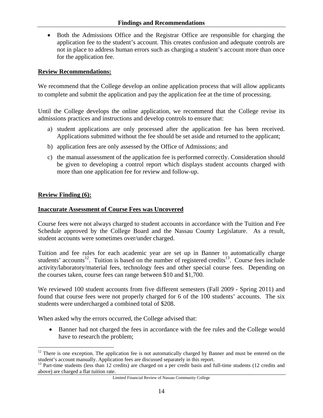• Both the Admissions Office and the Registrar Office are responsible for charging the application fee to the student's account. This creates confusion and adequate controls are not in place to address human errors such as charging a student's account more than once for the application fee.

#### **Review Recommendations:**

We recommend that the College develop an online application process that will allow applicants to complete and submit the application and pay the application fee at the time of processing.

Until the College develops the online application, we recommend that the College revise its admissions practices and instructions and develop controls to ensure that:

- a) student applications are only processed after the application fee has been received. Applications submitted without the fee should be set aside and returned to the applicant;
- b) application fees are only assessed by the Office of Admissions; and
- c) the manual assessment of the application fee is performed correctly. Consideration should be given to developing a control report which displays student accounts charged with more than one application fee for review and follow-up.

#### **Review Finding (6):**

1

#### **Inaccurate Assessment of Course Fees was Uncovered**

Course fees were not always charged to student accounts in accordance with the Tuition and Fee Schedule approved by the College Board and the Nassau County Legislature. As a result, student accounts were sometimes over/under charged.

Tuition and fee rules for each academic year are set up in Banner to automatically charge students' accounts<sup>12</sup>. Tuition is based on the number of registered credits<sup>13</sup>. Course fees include activity/laboratory/material fees, technology fees and other special course fees. Depending on the courses taken, course fees can range between \$10 and \$1,700.

We reviewed 100 student accounts from five different semesters (Fall 2009 - Spring 2011) and found that course fees were not properly charged for 6 of the 100 students' accounts. The six students were undercharged a combined total of \$208.

When asked why the errors occurred, the College advised that:

• Banner had not charged the fees in accordance with the fee rules and the College would have to research the problem;

 $12$  There is one exception. The application fee is not automatically charged by Banner and must be entered on the student's account manually. Application fees are discussed separately in this report.

 $13$  Part-time students (less than 12 credits) are charged on a per credit basis and full-time students (12 credits and above) are charged a flat tuition rate.

Limited Financial Review of Nassau Community College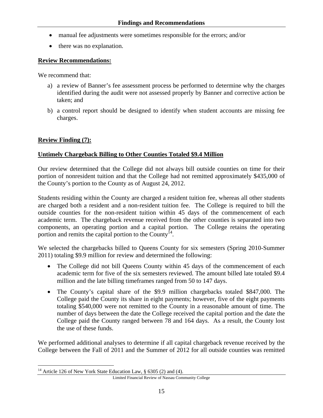- manual fee adjustments were sometimes responsible for the errors; and/or
- there was no explanation.

#### **Review Recommendations:**

We recommend that:

- a) a review of Banner's fee assessment process be performed to determine why the charges identified during the audit were not assessed properly by Banner and corrective action be taken; and
- b) a control report should be designed to identify when student accounts are missing fee charges.

#### **Review Finding (7):**

#### **Untimely Chargeback Billing to Other Counties Totaled \$9.4 Million**

Our review determined that the College did not always bill outside counties on time for their portion of nonresident tuition and that the College had not remitted approximately \$435,000 of the County's portion to the County as of August 24, 2012.

Students residing within the County are charged a resident tuition fee, whereas all other students are charged both a resident and a non-resident tuition fee. The College is required to bill the outside counties for the non-resident tuition within 45 days of the commencement of each academic term. The chargeback revenue received from the other counties is separated into two components, an operating portion and a capital portion. The College retains the operating portion and remits the capital portion to the County<sup>14</sup>.

We selected the chargebacks billed to Queens County for six semesters (Spring 2010-Summer 2011) totaling \$9.9 million for review and determined the following:

- The College did not bill Queens County within 45 days of the commencement of each academic term for five of the six semesters reviewed. The amount billed late totaled \$9.4 million and the late billing timeframes ranged from 50 to 147 days.
- The County's capital share of the \$9.9 million chargebacks totaled \$847,000. The College paid the County its share in eight payments; however, five of the eight payments totaling \$540,000 were not remitted to the County in a reasonable amount of time. The number of days between the date the College received the capital portion and the date the College paid the County ranged between 78 and 164 days. As a result, the County lost the use of these funds.

We performed additional analyses to determine if all capital chargeback revenue received by the College between the Fall of 2011 and the Summer of 2012 for all outside counties was remitted

 $\overline{a}$ <sup>14</sup> Article 126 of New York State Education Law,  $\S$  6305 (2) and (4).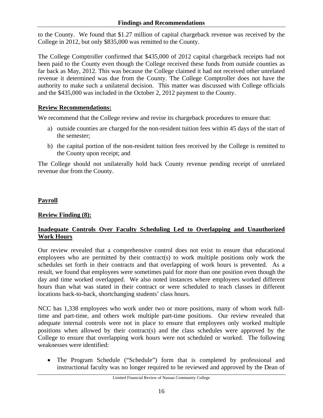to the County. We found that \$1.27 million of capital chargeback revenue was received by the College in 2012, but only \$835,000 was remitted to the County.

The College Comptroller confirmed that \$435,000 of 2012 capital chargeback receipts had not been paid to the County even though the College received these funds from outside counties as far back as May, 2012. This was because the College claimed it had not received other unrelated revenue it determined was due from the County. The College Comptroller does not have the authority to make such a unilateral decision. This matter was discussed with College officials and the \$435,000 was included in the October 2, 2012 payment to the County.

## **Review Recommendations:**

We recommend that the College review and revise its chargeback procedures to ensure that:

- a) outside counties are charged for the non-resident tuition fees within 45 days of the start of the semester;
- b) the capital portion of the non-resident tuition fees received by the College is remitted to the County upon receipt; and

The College should not unilaterally hold back County revenue pending receipt of unrelated revenue due from the County.

# **Payroll**

# **Review Finding (8):**

## **Inadequate Controls Over Faculty Scheduling Led to Overlapping and Unauthorized Work Hours**

Our review revealed that a comprehensive control does not exist to ensure that educational employees who are permitted by their contract(s) to work multiple positions only work the schedules set forth in their contracts and that overlapping of work hours is prevented. As a result, we found that employees were sometimes paid for more than one position even though the day and time worked overlapped. We also noted instances where employees worked different hours than what was stated in their contract or were scheduled to teach classes in different locations back-to-back, shortchanging students' class hours.

NCC has 1,338 employees who work under two or more positions, many of whom work fulltime and part-time, and others work multiple part-time positions. Our review revealed that adequate internal controls were not in place to ensure that employees only worked multiple positions when allowed by their contract(s) and the class schedules were approved by the College to ensure that overlapping work hours were not scheduled or worked. The following weaknesses were identified:

• The Program Schedule ("Schedule") form that is completed by professional and instructional faculty was no longer required to be reviewed and approved by the Dean of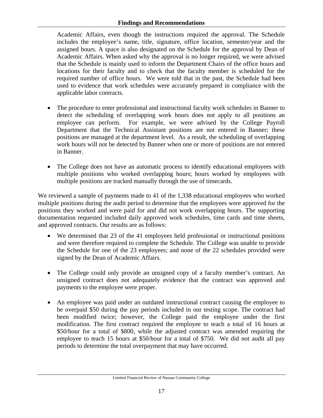#### **Findings and Recommendations**

Academic Affairs, even though the instructions required the approval. The Schedule includes the employee's name, title, signature, office location, semester/year and the assigned hours. A space is also designated on the Schedule for the approval by Dean of Academic Affairs. When asked why the approval is no longer required, we were advised that the Schedule is mainly used to inform the Department Chairs of the office hours and locations for their faculty and to check that the faculty member is scheduled for the required number of office hours. We were told that in the past, the Schedule had been used to evidence that work schedules were accurately prepared in compliance with the applicable labor contracts.

- The procedure to enter professional and instructional faculty work schedules in Banner to detect the scheduling of overlapping work hours does not apply to all positions an employee can perform. For example, we were advised by the College Payroll Department that the Technical Assistant positions are not entered in Banner; these positions are managed at the department level. As a result, the scheduling of overlapping work hours will not be detected by Banner when one or more of positions are not entered in Banner.
- The College does not have an automatic process to identify educational employees with multiple positions who worked overlapping hours; hours worked by employees with multiple positions are tracked manually through the use of timecards.

We reviewed a sample of payments made to 41 of the 1,338 educational employees who worked multiple positions during the audit period to determine that the employees were approved for the positions they worked and were paid for and did not work overlapping hours. The supporting documentation requested included daily approved work schedules, time cards and time sheets, and approved contracts. Our results are as follows:

- We determined that 23 of the 41 employees held professional or instructional positions and were therefore required to complete the Schedule. The College was unable to provide the Schedule for one of the 23 employees; and none of the 22 schedules provided were signed by the Dean of Academic Affairs.
- The College could only provide an unsigned copy of a faculty member's contract. An unsigned contract does not adequately evidence that the contract was approved and payments to the employee were proper.
- An employee was paid under an outdated instructional contract causing the employee to be overpaid \$50 during the pay periods included in our testing scope. The contract had been modified twice; however, the College paid the employee under the first modification. The first contract required the employee to teach a total of 16 hours at \$50/hour for a total of \$800, while the adjusted contract was amended requiring the employee to teach 15 hours at \$50/hour for a total of \$750. We did not audit all pay periods to determine the total overpayment that may have occurred.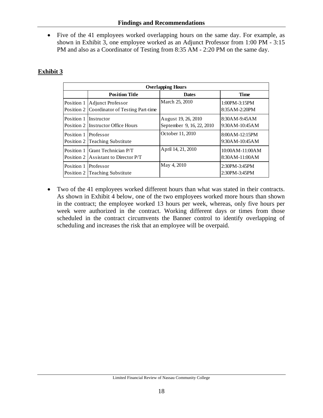• Five of the 41 employees worked overlapping hours on the same day. For example, as shown in Exhibit 3, one employee worked as an Adjunct Professor from 1:00 PM - 3:15 PM and also as a Coordinator of Testing from 8:35 AM - 2:20 PM on the same day.

# **Exhibit 3**

| <b>Overlapping Hours</b> |                                                                         |                                                  |                                    |  |  |  |  |  |  |
|--------------------------|-------------------------------------------------------------------------|--------------------------------------------------|------------------------------------|--|--|--|--|--|--|
|                          | <b>Position Title</b>                                                   | <b>Dates</b>                                     | <b>Time</b>                        |  |  |  |  |  |  |
| Position 1               | Adjunct Professor<br>Position 2 Coordinator of Testing Part-time        | March 25, 2010                                   | $1:00PM - 3:15PM$<br>8:35AM-2:20PM |  |  |  |  |  |  |
| Position 1               | <b>Instructor</b><br>Position 2 Instructor Office Hours                 | August 19, 26, 2010<br>September 9, 16, 22, 2010 | 8:30AM-9:45AM<br>$9:30$ AM-10:45AM |  |  |  |  |  |  |
| Position 1               | Professor<br>Position 2 Teaching Substitute                             | October 11, 2010                                 | 8:00AM-12:15PM<br>9:30AM-10:45AM   |  |  |  |  |  |  |
|                          | Position 1 Grant Technician P/T<br>Position 2 Assistant to Director P/T | April 14, 21, 2010                               | 10:00AM-11:00AM<br>8:30AM-11:00AM  |  |  |  |  |  |  |
| Position 1               | Professor<br>Position 2 Teaching Substitute                             | May 4, 2010                                      | 2:30PM-3:45PM<br>2:30PM-3:45PM     |  |  |  |  |  |  |

• Two of the 41 employees worked different hours than what was stated in their contracts. As shown in Exhibit 4 below, one of the two employees worked more hours than shown in the contract; the employee worked 13 hours per week, whereas, only five hours per week were authorized in the contract. Working different days or times from those scheduled in the contract circumvents the Banner control to identify overlapping of scheduling and increases the risk that an employee will be overpaid.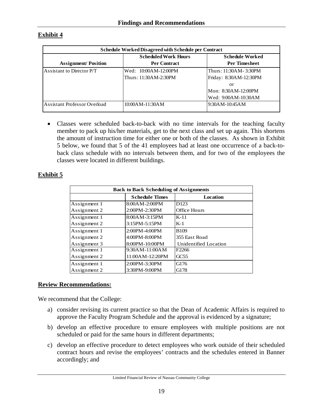# **Exhibit 4**

| Schedule Worked Disagreed with Schedule per Contract |                             |                        |  |  |  |  |
|------------------------------------------------------|-----------------------------|------------------------|--|--|--|--|
|                                                      | <b>Scheduled Work Hours</b> | <b>Schedule Worked</b> |  |  |  |  |
| <b>Assignment/Position</b>                           | <b>Per Contract</b>         | <b>Per Timesheet</b>   |  |  |  |  |
| Assistant to Director P/T                            | Wed: 10:00AM-12:00PM        | Thurs: 11:30AM-3:30PM  |  |  |  |  |
|                                                      | Thurs: 11:30AM-2:30PM       | Friday: 8:30AM-12:30PM |  |  |  |  |
|                                                      |                             | or                     |  |  |  |  |
|                                                      |                             | Mon: 8:30AM-12:00PM    |  |  |  |  |
|                                                      |                             | Wed: 9:00AM-10:30AM    |  |  |  |  |
| Assistant Professor Overload                         | 10:00AM-11:30AM             | $9:30$ AM-10:45AM      |  |  |  |  |

• Classes were scheduled back-to-back with no time intervals for the teaching faculty member to pack up his/her materials, get to the next class and set up again. This shortens the amount of instruction time for either one or both of the classes. As shown in Exhibit 5 below, we found that 5 of the 41 employees had at least one occurrence of a back-toback class schedule with no intervals between them, and for two of the employees the classes were located in different buildings.

## **Exhibit 5**

| <b>Back to Back Scheduling of Assignments</b> |                       |                       |  |  |  |  |  |
|-----------------------------------------------|-----------------------|-----------------------|--|--|--|--|--|
|                                               | <b>Schedule Times</b> | Location              |  |  |  |  |  |
| Assignment 1                                  | 8:00AM-2:00PM         | D <sub>123</sub>      |  |  |  |  |  |
| Assignment 2                                  | 2:00PM-2:30PM         | <b>Office Hours</b>   |  |  |  |  |  |
| Assignment 1                                  | 8:00AM-3:15PM         | $K-11$                |  |  |  |  |  |
| Assignment 2                                  | 3:15PM-5:15PM         | $K-1$                 |  |  |  |  |  |
| Assignment 1                                  | 2:00PM-4:00PM         | <b>B109</b>           |  |  |  |  |  |
| Assignment 2                                  | 4:00PM-8:00PM         | 355 East Road         |  |  |  |  |  |
| Assignment 3                                  | 8:00PM-10:00PM        | Unidentified Location |  |  |  |  |  |
| Assignment 1                                  | 9:30AM-11:00AM        | F <sub>2266</sub>     |  |  |  |  |  |
| Assignment 2                                  | 11:00AM-12:20PM       | GC55                  |  |  |  |  |  |
| Assignment 1                                  | 2:00PM-3:30PM         | G176                  |  |  |  |  |  |
| Assignment 2                                  | 3:30PM-9:00PM         | G178                  |  |  |  |  |  |

#### **Review Recommendations:**

We recommend that the College:

- a) consider revising its current practice so that the Dean of Academic Affairs is required to approve the Faculty Program Schedule and the approval is evidenced by a signature;
- b) develop an effective procedure to ensure employees with multiple positions are not scheduled or paid for the same hours in different departments;
- c) develop an effective procedure to detect employees who work outside of their scheduled contract hours and revise the employees' contracts and the schedules entered in Banner accordingly; and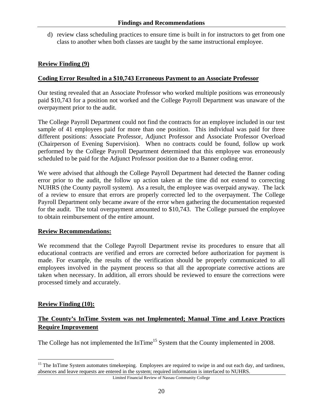d) review class scheduling practices to ensure time is built in for instructors to get from one class to another when both classes are taught by the same instructional employee.

## **Review Finding (9)**

### **Coding Error Resulted in a \$10,743 Erroneous Payment to an Associate Professor**

Our testing revealed that an Associate Professor who worked multiple positions was erroneously paid \$10,743 for a position not worked and the College Payroll Department was unaware of the overpayment prior to the audit.

The College Payroll Department could not find the contracts for an employee included in our test sample of 41 employees paid for more than one position. This individual was paid for three different positions: Associate Professor, Adjunct Professor and Associate Professor Overload (Chairperson of Evening Supervision). When no contracts could be found, follow up work performed by the College Payroll Department determined that this employee was erroneously scheduled to be paid for the Adjunct Professor position due to a Banner coding error.

We were advised that although the College Payroll Department had detected the Banner coding error prior to the audit, the follow up action taken at the time did not extend to correcting NUHRS (the County payroll system). As a result, the employee was overpaid anyway. The lack of a review to ensure that errors are properly corrected led to the overpayment. The College Payroll Department only became aware of the error when gathering the documentation requested for the audit. The total overpayment amounted to \$10,743. The College pursued the employee to obtain reimbursement of the entire amount.

#### **Review Recommendations:**

We recommend that the College Payroll Department revise its procedures to ensure that all educational contracts are verified and errors are corrected before authorization for payment is made. For example, the results of the verification should be properly communicated to all employees involved in the payment process so that all the appropriate corrective actions are taken when necessary. In addition, all errors should be reviewed to ensure the corrections were processed timely and accurately.

#### **Review Finding (10):**

 $\overline{a}$ 

# **The County's InTime System was not Implemented; Manual Time and Leave Practices Require Improvement**

The College has not implemented the InTime<sup>15</sup> System that the County implemented in 2008.

<sup>&</sup>lt;sup>15</sup> The InTime System automates timekeeping. Employees are required to swipe in and out each day, and tardiness, absences and leave requests are entered in the system; required information is interfaced to NUHRS.

Limited Financial Review of Nassau Community College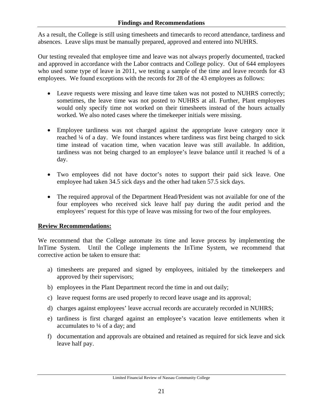As a result, the College is still using timesheets and timecards to record attendance, tardiness and absences. Leave slips must be manually prepared, approved and entered into NUHRS.

Our testing revealed that employee time and leave was not always properly documented, tracked and approved in accordance with the Labor contracts and College policy. Out of 644 employees who used some type of leave in 2011, we testing a sample of the time and leave records for 43 employees. We found exceptions with the records for 28 of the 43 employees as follows:

- Leave requests were missing and leave time taken was not posted to NUHRS correctly; sometimes, the leave time was not posted to NUHRS at all. Further, Plant employees would only specify time not worked on their timesheets instead of the hours actually worked. We also noted cases where the timekeeper initials were missing.
- Employee tardiness was not charged against the appropriate leave category once it reached ¼ of a day. We found instances where tardiness was first being charged to sick time instead of vacation time, when vacation leave was still available. In addition, tardiness was not being charged to an employee's leave balance until it reached  $\frac{3}{4}$  of a day.
- Two employees did not have doctor's notes to support their paid sick leave. One employee had taken 34.5 sick days and the other had taken 57.5 sick days.
- The required approval of the Department Head/President was not available for one of the four employees who received sick leave half pay during the audit period and the employees' request for this type of leave was missing for two of the four employees.

# **Review Recommendations:**

We recommend that the College automate its time and leave process by implementing the InTime System. Until the College implements the InTime System, we recommend that corrective action be taken to ensure that:

- a) timesheets are prepared and signed by employees, initialed by the timekeepers and approved by their supervisors;
- b) employees in the Plant Department record the time in and out daily;
- c) leave request forms are used properly to record leave usage and its approval;
- d) charges against employees' leave accrual records are accurately recorded in NUHRS;
- e) tardiness is first charged against an employee's vacation leave entitlements when it accumulates to ¼ of a day; and
- f) documentation and approvals are obtained and retained as required for sick leave and sick leave half pay.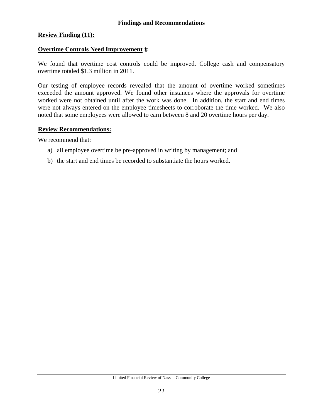#### **Review Finding (11):**

#### **Overtime Controls Need Improvement**

We found that overtime cost controls could be improved. College cash and compensatory overtime totaled \$1.3 million in 2011.

Our testing of employee records revealed that the amount of overtime worked sometimes exceeded the amount approved. We found other instances where the approvals for overtime worked were not obtained until after the work was done. In addition, the start and end times were not always entered on the employee timesheets to corroborate the time worked. We also noted that some employees were allowed to earn between 8 and 20 overtime hours per day.

#### **Review Recommendations:**

We recommend that:

- a) all employee overtime be pre-approved in writing by management; and
- b) the start and end times be recorded to substantiate the hours worked.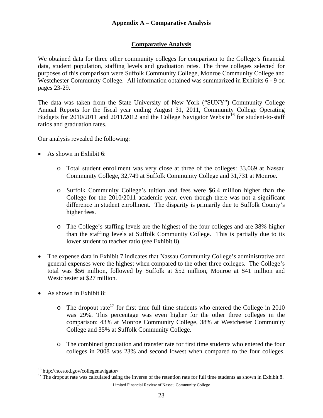## **Comparative Analysis**

We obtained data for three other community colleges for comparison to the College's financial data, student population, staffing levels and graduation rates. The three colleges selected for purposes of this comparison were Suffolk Community College, Monroe Community College and Westchester Community College. All information obtained was summarized in Exhibits 6 - 9 on pages 23-29.

The data was taken from the State University of New York ("SUNY") Community College Annual Reports for the fiscal year ending August 31, 2011, Community College Operating Budgets for  $2010/2011$  and  $2011/2012$  and the College Navigator Website<sup>16</sup> for student-to-staff ratios and graduation rates.

Our analysis revealed the following:

- As shown in Exhibit 6:
	- o Total student enrollment was very close at three of the colleges: 33,069 at Nassau Community College, 32,749 at Suffolk Community College and 31,731 at Monroe.
	- o Suffolk Community College's tuition and fees were \$6.4 million higher than the College for the 2010/2011 academic year, even though there was not a significant difference in student enrollment. The disparity is primarily due to Suffolk County's higher fees.
	- o The College's staffing levels are the highest of the four colleges and are 38% higher than the staffing levels at Suffolk Community College. This is partially due to its lower student to teacher ratio (see Exhibit 8).
- The expense data in Exhibit 7 indicates that Nassau Community College's administrative and general expenses were the highest when compared to the other three colleges. The College's total was \$56 million, followed by Suffolk at \$52 million, Monroe at \$41 million and Westchester at \$27 million.
- As shown in Exhibit 8:
	- $\circ$  The dropout rate<sup>17</sup> for first time full time students who entered the College in 2010 was 29%. This percentage was even higher for the other three colleges in the comparison: 43% at Monroe Community College, 38% at Westchester Community College and 35% at Suffolk Community College.
	- o The combined graduation and transfer rate for first time students who entered the four colleges in 2008 was 23% and second lowest when compared to the four colleges.

 $\overline{a}$ 

<sup>16</sup> http://nces.ed.gov/collegenavigator/

<sup>&</sup>lt;sup>17</sup> The dropout rate was calculated using the inverse of the retention rate for full time students as shown in Exhibit 8.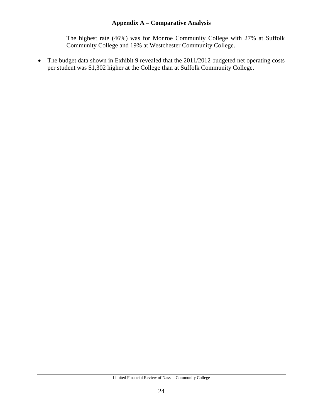The highest rate (46%) was for Monroe Community College with 27% at Suffolk Community College and 19% at Westchester Community College.

• The budget data shown in Exhibit 9 revealed that the 2011/2012 budgeted net operating costs per student was \$1,302 higher at the College than at Suffolk Community College.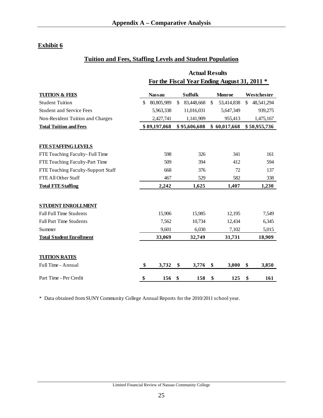# **Exhibit 6**

# **Tuition and Fees, Staffing Levels and Student Population**

|                                    | <b>Actual Results</b>                        |               |    |                |              |               |    |              |  |
|------------------------------------|----------------------------------------------|---------------|----|----------------|--------------|---------------|----|--------------|--|
|                                    | For the Fiscal Year Ending August 31, 2011 * |               |    |                |              |               |    |              |  |
| <b>TUITION &amp; FEES</b>          |                                              | <b>Nassau</b> |    | <b>Suffolk</b> |              | <b>Monroe</b> |    | Westchester  |  |
| <b>Student Tuition</b>             | \$                                           | 80,805,989    | \$ | 83,448,668     | $\mathbb{S}$ | 53,414,838    | \$ | 48,541,294   |  |
| <b>Student and Service Fees</b>    |                                              | 5,963,338     |    | 11,016,031     |              | 5,647,349     |    | 939,275      |  |
| Non-Resident Tuition and Charges   |                                              | 2,427,741     |    | 1,141,909      |              | 955,413       |    | 1,475,167    |  |
| <b>Total Tuition and Fees</b>      |                                              | \$89,197,068  |    | \$95,606,608   |              | \$60,017,668  |    | \$50,955,736 |  |
| <b>FTESTAFFING LEVELS</b>          |                                              |               |    |                |              |               |    |              |  |
| FTE Teaching Faculty-Full Time     |                                              | 598           |    | 326            |              | 341           |    | 161          |  |
| FTE Teaching Faculty-Part Time     |                                              | 509           |    | 394            |              | 412           |    | 594          |  |
| FTE Teaching Faculty-Support Staff |                                              | 668           |    | 376            |              | 72            |    | 137          |  |
| FTE All Other Staff                |                                              | 467           |    | 529            |              | 582           |    | 338          |  |
| <b>Total FTE Staffing</b>          |                                              | 2,242         |    | 1,625          |              | 1,407         |    | 1,230        |  |
| <b>STUDENT ENROLLMENT</b>          |                                              |               |    |                |              |               |    |              |  |
| <b>Fall Full Time Students</b>     |                                              | 15,906        |    | 15,985         |              | 12,195        |    | 7,549        |  |
| <b>Fall Part Time Students</b>     |                                              | 7,562         |    | 10,734         |              | 12,434        |    | 6,345        |  |
| Summer                             |                                              | 9,601         |    | 6,030          |              | 7,102         |    | 5,015        |  |
| <b>Total Student Enrollment</b>    |                                              | 33,069        |    | 32,749         |              | 31,731        |    | 18,909       |  |
| <b>TUITION RATES</b>               |                                              |               |    |                |              |               |    |              |  |
| Full Time - Annual                 | \$                                           | 3,732         | \$ | 3,776          | \$           | 3,000         | \$ | 3,850        |  |
| Part Time - Per Credit             | \$                                           | 156           | \$ | 158            | \$           | 125           | \$ | 161          |  |

\* Data obtained from SUNY Community College Annual Reports for the 2010/2011 school year.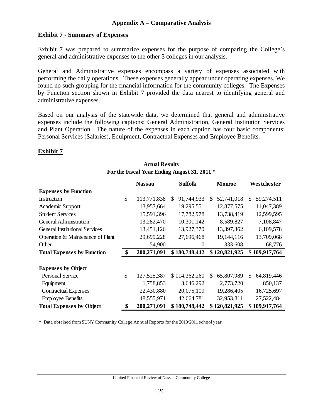#### **Exhibit 7 - Summary of Expenses**

Exhibit 7 was prepared to summarize expenses for the purpose of comparing the College's general and administrative expenses to the other 3 colleges in our analysis.

General and Administrative expenses encompass a variety of expenses associated with performing the daily operations. These expenses generally appear under operating expenses. We found no such grouping for the financial information for the community colleges. The Expenses by Function section shown in Exhibit 7 provided the data nearest to identifying general and administrative expenses.

Based on our analysis of the statewide data, we determined that general and administrative expenses include the following captions: General Administration, General Institution Services and Plant Operation. The nature of the expenses in each caption has four basic components: Personal Services (Salaries), Equipment, Contractual Expenses and Employee Benefits.

**Actual Results** 

#### **Exhibit 7**

| Actual Irebulto<br>For the Fiscal Year Ending August 31, 2011 * |    |               |    |                |     |               |    |               |  |  |  |
|-----------------------------------------------------------------|----|---------------|----|----------------|-----|---------------|----|---------------|--|--|--|
|                                                                 |    | <b>Nassau</b> |    | <b>Suffolk</b> |     | Monroe        |    | Westchester   |  |  |  |
| <b>Expenses by Function</b>                                     |    |               |    |                |     |               |    |               |  |  |  |
| Instruction                                                     | \$ | 113,771,838   | S. | 91,744,933     | \$. | 52,741,018    | S. | 59,274,511    |  |  |  |
| Academic Support                                                |    | 13,957,664    |    | 19,295,551     |     | 12,877,575    |    | 11,047,389    |  |  |  |
| <b>Student Services</b>                                         |    | 15,591,396    |    | 17,782,978     |     | 13,738,419    |    | 12,599,595    |  |  |  |
| <b>General Administration</b>                                   |    | 13,282,470    |    | 10,301,142     |     | 8,589,827     |    | 7,108,847     |  |  |  |
| <b>General Institutional Services</b>                           |    | 13,451,126    |    | 13,927,370     |     | 13,397,362    |    | 6,109,578     |  |  |  |
| Operation & Maintenance of Plant                                |    | 29,699,228    |    | 27,696,468     |     | 19,144,116    |    | 13,709,068    |  |  |  |
| Other                                                           |    | 54,900        |    | $\Omega$       |     | 333,608       |    | 68,776        |  |  |  |
| <b>Total Expenses by Function</b>                               | \$ | 200,271,091   |    | \$180,748,442  |     | \$120,821,925 |    | \$109,917,764 |  |  |  |
| <b>Expenses by Object</b>                                       |    |               |    |                |     |               |    |               |  |  |  |
| <b>Personal Service</b>                                         | \$ | 127,525,387   |    | \$114,362,260  | \$. | 65,807,989    | \$ | 64,819,446    |  |  |  |
| Equipment                                                       |    | 1,758,853     |    | 3,646,292      |     | 2,773,720     |    | 850,137       |  |  |  |
| <b>Contractual Expenses</b>                                     |    | 22,430,880    |    | 20,075,109     |     | 19,286,405    |    | 16,725,697    |  |  |  |
| <b>Employee Benefits</b>                                        |    | 48,555,971    |    | 42,664,781     |     | 32,953,811    |    | 27,522,484    |  |  |  |
| <b>Total Expenses by Object</b>                                 | \$ | 200,271,091   |    | \$180,748,442  |     | \$120,821,925 |    | \$109,917,764 |  |  |  |

**\*** Data obtained from SUNY Community College Annual Reports for the 2010/2011 school year.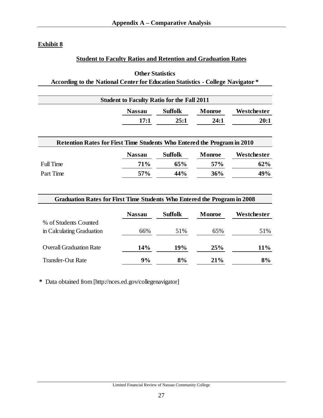# **Exhibit 8**

# **Student to Faculty Ratios and Retention and Graduation Rates**

# **Other Statistics According to the National Center for Education Statistics - College Navigator \***

| <b>Student to Faculty Ratio for the Fall 2011</b> |                                                                         |         |                 |             |  |  |  |  |  |
|---------------------------------------------------|-------------------------------------------------------------------------|---------|-----------------|-------------|--|--|--|--|--|
|                                                   | <b>Nassau</b>                                                           | Suffolk | <b>Monroe</b>   | Westchester |  |  |  |  |  |
|                                                   | 17:1                                                                    | 25:1    | 24:1            | 20:1        |  |  |  |  |  |
|                                                   | Retention Rates for First Time Students Who Entered the Program in 2010 |         |                 |             |  |  |  |  |  |
|                                                   | <b>Nassau</b>                                                           | Suffolk | Monroe          | Westchester |  |  |  |  |  |
| <b>Full Time</b>                                  | 71%                                                                     | 65%     | 57 <sub>%</sub> | 62%         |  |  |  |  |  |
| Part Time                                         | 57%                                                                     | 44%     | 36%             |             |  |  |  |  |  |
|                                                   |                                                                         |         |                 | 49%         |  |  |  |  |  |

| <b>Graduation Rates for First Time Students Who Entered the Program in 2008</b> |               |                |               |             |  |  |  |  |
|---------------------------------------------------------------------------------|---------------|----------------|---------------|-------------|--|--|--|--|
|                                                                                 | <b>Nassau</b> | <b>Suffolk</b> | <b>Monroe</b> | Westchester |  |  |  |  |
| % of Students Counted                                                           |               |                |               |             |  |  |  |  |
| in Calculating Graduation                                                       | 66%           | 51%            | 65%           | 51%         |  |  |  |  |
| <b>Overall Graduation Rate</b>                                                  | 14%           | <b>19%</b>     | 25%           | $11\%$      |  |  |  |  |
| <b>Transfer-Out Rate</b>                                                        | 9%            | 8%             | $21\%$        | 8%          |  |  |  |  |

**\*** Data obtained from [http://nces.ed.gov/collegenavigator]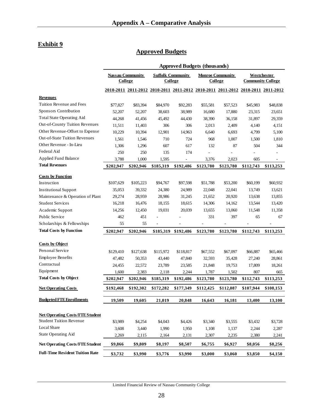# **Exhibit 9**

# **Approved Budgets**

|                                        |                |                         |                                                                                 | <b>Approved Budgets (thousands)</b> |                                    |           |                          |             |
|----------------------------------------|----------------|-------------------------|---------------------------------------------------------------------------------|-------------------------------------|------------------------------------|-----------|--------------------------|-------------|
|                                        | <b>College</b> | <b>Nassau Community</b> | <b>College</b>                                                                  | <b>Suffolk Community</b>            | <b>Monroe Community</b><br>College |           | <b>Community College</b> | Westchester |
|                                        |                |                         | 2010-2011 2011-2012 2010-2011 2011-2012 2010-2011 2011-2012 2010-2011 2011-2012 |                                     |                                    |           |                          |             |
| <b>Revenues</b>                        |                |                         |                                                                                 |                                     |                                    |           |                          |             |
| Tuition Revenue and Fees               | \$77,827       | \$83,394                | \$84,970                                                                        | \$92,283                            | \$55,581                           | \$57,523  | \$45,983                 | \$48,838    |
| Sponsors Contribution                  | 52,207         | 52,207                  | 38,603                                                                          | 38,989                              | 16,680                             | 17,880    | 23,315                   | 23,651      |
| <b>Total State Operating Aid</b>       | 44,268         | 41,456                  | 45,492                                                                          | 44,430                              | 38,390                             | 36,158    | 31,897                   | 29,359      |
| Out-of-County Tuition Revenues         | 11,511         | 11,403                  | 306                                                                             | 306                                 | 2,013                              | 2,409     | 4,140                    | 4,151       |
| Other Revenue-Offset to Expense        | 10,229         | 10,394                  | 12,901                                                                          | 14,963                              | 6,640                              | 6,693     | 4,799                    | 5,100       |
| <b>Out-of-State Tuition Revenues</b>   | 1,561          | 1,546                   | 710                                                                             | 724                                 | 968                                | 1,007     | 1,500                    | 1,810       |
| Other Revenue - In-Lieu                | 1,306          | 1,296                   | 607                                                                             | 617                                 | 132                                | 87        | 504                      | 344         |
| Federal Aid                            | 250            | 250                     | 135                                                                             | 174                                 |                                    |           |                          |             |
| Applied Fund Balance                   | 3,788          | 1,000                   | 1,595                                                                           |                                     | 3,376                              | 2,023     | 605                      |             |
| <b>Total Revenues</b>                  | \$202,947      | \$202,946               | \$185,319                                                                       | \$192,486                           | \$123,780                          | \$123,780 | \$112,743                | \$113,253   |
| <b>Costs by Function</b>               |                |                         |                                                                                 |                                     |                                    |           |                          |             |
| Instruction                            | \$107,629      | \$105,223               | \$94,767                                                                        | \$97,598                            | \$51,788                           | \$53,200  | \$60,199                 | \$60,932    |
| <b>Institutional Support</b>           | 35,053         | 39,332                  | 24,380                                                                          | 24,989                              | 22,048                             | 22,041    | 13,749                   | 13,621      |
| Maintenance & Operation of Plant       | 29,274         | 28,959                  | 28,986                                                                          | 31,245                              | 21,652                             | 20,920    | 13,638                   | 13,855      |
| <b>Student Services</b>                | 16,218         | 16,476                  | 18,155                                                                          | 18,615                              | 14,306                             | 14,162    | 13,544                   | 13,420      |
| Academic Support                       | 14,256         | 12,450                  | 19,031                                                                          | 20,039                              | 13,655                             | 13,060    | 11,548                   | 11,358      |
| Public Service                         | 462            | 451                     |                                                                                 |                                     | 331                                | 397       | 65                       | 67          |
| Scholarships & Fellowships             | 55             | 55                      |                                                                                 |                                     |                                    | ÷,        | ä,                       | ٠           |
| <b>Total Costs by Function</b>         |                |                         |                                                                                 |                                     |                                    |           |                          |             |
|                                        | \$202,947      | \$202,946               | \$185,319                                                                       | \$192,486                           | \$123,780                          | \$123,780 | \$112,743                | \$113,253   |
| <b>Costs by Object</b>                 |                |                         |                                                                                 |                                     |                                    |           |                          |             |
| Personal Service                       | \$129,410      | \$127,638               | \$115,972                                                                       | \$118,817                           | \$67,552                           | \$67,097  | \$66,887                 | \$65,466    |
| <b>Employee Benefits</b>               | 47,482         | 50,353                  | 43,440                                                                          | 47,840                              | 32,593                             | 35,428    | 27,240                   | 28,861      |
| Contractual                            | 24,455         | 22,572                  | 23,789                                                                          | 23,585                              | 21,848                             | 19,753    | 17,809                   | 18,261      |
| Equipment                              | 1,600          | 2,383                   | 2,118                                                                           | 2,244                               | 1,787                              | 1,502     | 807                      | 665         |
| <b>Total Costs by Object</b>           | \$202,947      | \$202,946               | \$185,319                                                                       | \$192,486                           | \$123,780                          | \$123,780 | \$112,743                | \$113,253   |
| <b>Net Operating Costs</b>             | \$192,468      | \$192,302               | \$172,282                                                                       | \$177,349                           | \$112,425                          | \$112,087 | \$107,944                | \$108,153   |
| <b>Budgeted FTE Enrollments</b>        | 19,509         | 19,605                  | 21,019                                                                          | 20,848                              | 16,643                             | 16,181    | 13,400                   | 13,100      |
|                                        |                |                         |                                                                                 |                                     |                                    |           |                          |             |
| <b>Net Operating Costs/FTE Student</b> |                |                         |                                                                                 |                                     |                                    |           |                          |             |
| <b>Student Tuition Revenue</b>         | \$3,989        | \$4,254                 | \$4,043                                                                         | \$4,426                             | \$3,340                            | \$3,555   | \$3,432                  | \$3,728     |
| Local Share                            | 3,608          | 3,440                   | 1,990                                                                           | 1,950                               | 1,108                              | 1,137     | 2,244                    | 2,287       |
| <b>State Operating Aid</b>             | 2,269          | 2,115                   | 2,164                                                                           | 2,131                               | 2,307                              | 2,235     | 2,380                    | 2,241       |
| <b>Net Operating Costs/FTEStudent</b>  | \$9,866        | \$9,809                 | \$8,197                                                                         | \$8,507                             | \$6,755                            | \$6,927   | \$8,056                  | \$8,256     |
| <b>Full-Time Resident Tuition Rate</b> | \$3,732        | \$3,990                 | \$3,776                                                                         | \$3,990                             | \$3,000                            | \$3,060   | \$3,850                  | \$4,150     |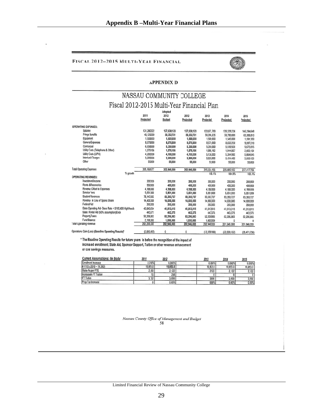#### FISCAL 2012-2015 MULTI-YEAR FINANCIAL



#### **APPENDIX D**

#### NASSAU COMMUNITY COLLEGE Fiscal 2012-2015 Multi-Year Financial Plan Adapted

|                                                      |             | <b>Munhich</b> |             |              |               |              |
|------------------------------------------------------|-------------|----------------|-------------|--------------|---------------|--------------|
|                                                      | 2011        | 2012           | 2012        | 2013         | 2014          | 2015         |
|                                                      | Projected   | <b>Budget</b>  | Projected   | Projected    | Projected     | Projected    |
| <b>OPERATING EXPENSES:</b>                           |             |                |             |              |               |              |
|                                                      |             |                |             |              |               |              |
| Salaries                                             | 131,280,322 | 127,638,123    | 127,638,123 | 133,071,769  | 139,328,236   | 146.294.648  |
| <b>Fringe Benefits</b>                               | 48,125,099  | 50.352.721     | 50,352,721  | 56,396,235   | 59,780,009    | 63,366,810   |
| Equipment                                            | 1,500,000   | 1,500,000      | 1,500,000   | 1,500,000    | 1,545,000     | 1,591,350    |
| General Expenses                                     | 8,575,000   | 8,575,000      | 8,575,000   | 8.575,000    | 8,832,250     | 9,097,218    |
| Contraciual                                          | 6,650,000   | 5,350,000      | 5,350,000   | 5,350,000    | 5,510,500     | 5,675,815    |
| Utility Costs (Telephone & Other)                    | 1,575,156   | 1,575,156      | 1,575,156   | 1,888,162    | 1,944,807     | 2,003,151    |
| <b>Utility Costs (LIPA)</b>                          | 4,200,000   | 4,700,000      | 4,700,000   | 5,138,000    | 5,394,900     | 5,664,645    |
| <b>Interiund Charges</b>                             | 3,200,000   | 3,200,000      | 3,200,000   | 3,328,000    | 3,494,400     | 3,669,120    |
| Other                                                | 55,000      | 55,000         | 55,000      | 55,000       | 55,000        | 55,000       |
|                                                      |             |                |             |              |               |              |
| <b>Total Operating Expenses</b>                      | 205,160,577 | 202,946,000    | 202.946,000 | 215,304,166  | 225,885.102   | 237,417,756  |
| % growth                                             |             |                |             | 106.1%       | 104.9%        | 105.1%       |
| <b>OPERATING REVENUES:</b>                           |             |                |             |              |               |              |
| Investment Income                                    | 200,000     | 200,000        | 200,000     | 200,000      | 200,000       | 200,000      |
| <b>Rents &amp; Recoveries</b>                        | 950,000     | 400.000        | 400,000     | 400.000      | 400,000       | 400,000      |
| Revenue Offset to Expenses                           | 4,188,000   | 4,188,000      | 4,188,000   | 4,188,000    | 4,188,000     | 4,188,000    |
| Service Fees                                         | 5,651,000   | 5,851,000      | 5,851,000   | 5.851,000    | 5,851,000     | 5,851,000    |
| <b>Student Revenues</b>                              | 78,143,582  | 83,393,727     | 83,393,727  | 83.393.727   | 83,393,727    | 83,393,727   |
| Revenue in Lieu of Spons Share                       | 14,400,000  | 14,000,000     | 14,000,000  | 14,000,000   | 14,000,000    | 14,000,000   |
| Federal Aid                                          | 250,000     | 250,000        | 250,000     | 250,000      | 250,000       | 250,000      |
| Slate Operating Aid- Base Rate + \$100,000 HighNeeds | 43.645.454  | 41,013,015     | 41,013,015  | 41,013,015   | 41,013,015    | 41,013,015   |
| State Rental Aid (50% assumption)Endo                | 443,571     | 443,375        | 443,375     | 443,375      | 443,375       | 443,375      |
| <b>Property Taxes</b>                                | 52,206,883  | 52,206,883     | 52,206,883  | 52,206,883   | 52,206,883    | 52,206,883   |
| <b>Fund Balance</b>                                  | 2,188,000   | 1,000,000      | 1,000,000   | 1,000,000    | 0             | $\theta$     |
| <b>Total Operating Revenue</b>                       | 202,266,590 | 202,946,000    | 202,946,000 | 202.946,000  | 201,946,000   | 201,946,000  |
|                                                      |             |                |             |              |               |              |
| Operations Gain (Loss)-(Baseline Operating Results)* | (2,893,987) | 0              | 0           | (12.358.166) | (23.939, 102) | (35.471.756) |

\* The Baseline Operating Results for future years is before the recognition of the impact of increased enrollment, State Aid, Sponsor Support, Tuition or other revenue enhancement or cost savings measures.

| <b>Current Assumptions: (in Body)</b> | 2011     | 2012     | 2013     | 2014     | 2015     |
|---------------------------------------|----------|----------|----------|----------|----------|
| <b>Enrollment Increase</b>            | 2.378%   | 0.000%   | 0.000%   | 0.000%   | 0.000%   |
| #FTE's (2010 ~ 19.392)                | 19,853.0 | 19,853.0 | 19,853.0 | 19,853.0 | 19,853.0 |
| State Aid per FTE                     | 2,260    | 2,122    | 2122     | 2.122    | 2,122    |
| <b>Increasein FT Tuition</b>          | 110      | 258      |          |          |          |
| <b>FT</b> Tuition                     | 3.732    | 3,990    | 3990     | 3,990    | 3,990    |
| Prop Tax Increase                     |          | 0.00%    | 0.00%    | 0.00%    | 0.00%    |

Nassau County Office of Management and Budget 58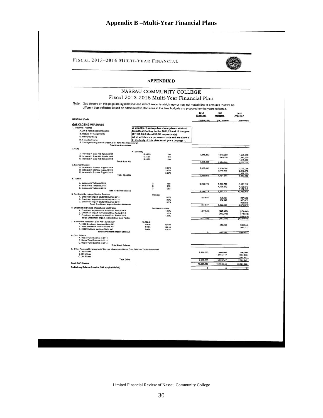|                          |                                                                                                                                                                                                                                                      |                      |                                                                                                     | FISCAL 2013-2016 MULTI-YEAR FINANCIAL |                          |                          |  |  |  |  |  |
|--------------------------|------------------------------------------------------------------------------------------------------------------------------------------------------------------------------------------------------------------------------------------------------|----------------------|-----------------------------------------------------------------------------------------------------|---------------------------------------|--------------------------|--------------------------|--|--|--|--|--|
|                          |                                                                                                                                                                                                                                                      |                      | <b>APPENDIX D</b>                                                                                   |                                       |                          |                          |  |  |  |  |  |
|                          |                                                                                                                                                                                                                                                      |                      | NASSAU COMMUNITY COLLEGE                                                                            |                                       |                          |                          |  |  |  |  |  |
|                          |                                                                                                                                                                                                                                                      |                      | Fiscal 2013-2016 Multi-Year Financial Plan                                                          |                                       |                          |                          |  |  |  |  |  |
|                          | Note: Gap closers on this page are hypothetical and reflect amounts which may or may not materialize or amounts that will be<br>different than reflected based on administrative decisions at the time budgets are prepared for the years reflected. |                      |                                                                                                     |                                       |                          |                          |  |  |  |  |  |
|                          |                                                                                                                                                                                                                                                      |                      |                                                                                                     | 2014<br><b>Projected</b>              | 2015<br><b>Projected</b> | 2016<br><b>Projected</b> |  |  |  |  |  |
| <b>BASELINE (GAP)</b>    |                                                                                                                                                                                                                                                      |                      |                                                                                                     | (10, 296, 180)                        | (19, 725, 048)           | (29, 599, 686)           |  |  |  |  |  |
|                          | <b>GAP CLOSING MEASURES</b>                                                                                                                                                                                                                          |                      |                                                                                                     |                                       |                          |                          |  |  |  |  |  |
|                          | 1. initiatives- Planned<br>A. 2014 Instructional Efficiencies                                                                                                                                                                                        |                      | A significant savings has already been attained<br>from Cost Cutting for the 2011,12 and 13 budgets |                                       |                          |                          |  |  |  |  |  |
|                          | <b>B. Reduce PT Assignments</b>                                                                                                                                                                                                                      |                      | (\$7.1M, \$5.8 M and \$8.0M respectively)                                                           |                                       |                          |                          |  |  |  |  |  |
|                          | C. OTPS Contracts<br><b>D. Fee Adjustments</b>                                                                                                                                                                                                       |                      | All of which were permanent cuts and are shown                                                      |                                       |                          |                          |  |  |  |  |  |
|                          | E. Contingency Adjustment (Reserve for items Not Materializing)                                                                                                                                                                                      |                      | in the body of this plan for all years on page 1.                                                   |                                       |                          |                          |  |  |  |  |  |
|                          | <b>Total Cost Reductions</b>                                                                                                                                                                                                                         |                      |                                                                                                     |                                       |                          |                          |  |  |  |  |  |
| 2. State                 |                                                                                                                                                                                                                                                      | FTE in body          |                                                                                                     |                                       |                          |                          |  |  |  |  |  |
|                          | A. Increase in State Aid Rate in 2014<br>B. Increase in State Aid Rate in 2015                                                                                                                                                                       | 19.453.5             | 100                                                                                                 | 1,945,350                             | 1,945,350                | 1,945,350                |  |  |  |  |  |
|                          | C. Increase in State Aid Rate in 2016                                                                                                                                                                                                                | 19,453.5<br>19,453.5 | 100<br>100                                                                                          |                                       | 1,945,350                | 1,945,350<br>1,945,350   |  |  |  |  |  |
|                          | <b>Total State Aid</b>                                                                                                                                                                                                                               |                      |                                                                                                     | 1,945,350                             | 3,890,700                | 5,836,050                |  |  |  |  |  |
| 3. Sponsor Support       | A. Increase in Sponsor Support 2014                                                                                                                                                                                                                  |                      | 3,90%                                                                                               | 2,036,068                             | 2,036,068                | 2.036.068                |  |  |  |  |  |
|                          | B. Increase in Sponsor Support 2015<br>C. Increase in Sponsor Support 2016                                                                                                                                                                           |                      | 3.90%                                                                                               |                                       | 2.115.475                | 2.115,475                |  |  |  |  |  |
|                          | <b>Total Sponsor</b>                                                                                                                                                                                                                                 |                      | 3.90%                                                                                               | 2,036,068                             | 4,151,544                | 2,197,979<br>6,349,522   |  |  |  |  |  |
| 4. Tuition-              |                                                                                                                                                                                                                                                      |                      |                                                                                                     |                                       |                          |                          |  |  |  |  |  |
|                          | A. Increase in Tuition in 2014                                                                                                                                                                                                                       | \$                   | 150                                                                                                 | 3.096.729                             | 3,096,729                | 3,096,729                |  |  |  |  |  |
|                          | B. Increase in Tuition in 2015<br>C. Increase in Tultion in 2016.                                                                                                                                                                                    | \$<br>t              | 200<br>250                                                                                          |                                       | 4,128,972                | 4.128.972                |  |  |  |  |  |
|                          | <b>Total Tuition Increases</b>                                                                                                                                                                                                                       |                      |                                                                                                     | 3.096.729                             | 7,225,701                | 5,161,215<br>12,386,915  |  |  |  |  |  |
|                          | 5. Enrollment Increases- Student Revenue                                                                                                                                                                                                             |                      | increases                                                                                           |                                       |                          |                          |  |  |  |  |  |
|                          | A. Enrollment impact-Student Revenue 2014<br>B. Enrollment impact-Student Revenue 2015                                                                                                                                                               |                      | 1.00%<br>1.00%                                                                                      | 854.697                               | 895,987<br>904,947       | 947,599<br>957,075       |  |  |  |  |  |
|                          | C. Enrollment impact-Student Revenue 2016<br><b>Total Enrollment Impact-Student Revenue</b>                                                                                                                                                          |                      | 1.00%                                                                                               | 854,697                               | 1,800.934                | 966.646<br>2.871,320     |  |  |  |  |  |
|                          | 6. Enrollment Increases- Instructional Cost Factor                                                                                                                                                                                                   |                      | <b>Enrollment Increases</b>                                                                         |                                       |                          |                          |  |  |  |  |  |
|                          | A. Enrollment impact-Instructional Cost Factor 2014<br>B. Enrollment impact-Instructional Cost Factor 2015                                                                                                                                           |                      | 1.00%<br>1.00%                                                                                      | (427, 349)                            | (447,993)                | (473, 800)               |  |  |  |  |  |
|                          | C. Enrollment impact-Instructional Cost Factor 2016                                                                                                                                                                                                  |                      | 1.00%                                                                                               |                                       | (452, 473)               | (478, 538)<br>(483, 323) |  |  |  |  |  |
|                          | <b>Total Enrollment impact-instructional Cost Factor</b>                                                                                                                                                                                             |                      |                                                                                                     | (427, 349)                            | (900.467)                | (1.435, 660)             |  |  |  |  |  |
|                          | 7. Enrollment Increases- State Aid- 2013Base=<br>A. 2014 Enrollment Increase-State Aid                                                                                                                                                               | 19,453.5<br>1.00%    | 194.54                                                                                              |                                       | 480,891                  | 500,344                  |  |  |  |  |  |
|                          | B. 2015 Enrollment Increase-State Aid<br>C. 201 Enrollment Increase-State Aid                                                                                                                                                                        | 1.00%<br>1.00%       | 196.48<br>198.45                                                                                    |                                       |                          | 505,347                  |  |  |  |  |  |
|                          | <b>Total Enrollment Impact-State Aid</b>                                                                                                                                                                                                             |                      |                                                                                                     | $\overline{\circ}$                    | 480.891                  | 1,005,691                |  |  |  |  |  |
| 8. Fund Balance          | A. Use of Fund Balance in 2013<br>B. Use of Fund Balance in 2014<br>C. Use of Fund Balance in 2015                                                                                                                                                   |                      |                                                                                                     |                                       |                          |                          |  |  |  |  |  |
|                          | <b>Total Fund Balance</b>                                                                                                                                                                                                                            |                      |                                                                                                     |                                       |                          |                          |  |  |  |  |  |
|                          | 9. Other Revenue Enhancements/ Savings Measures & Use of Fund Balance- To Be Determined<br>A. 2014 Items                                                                                                                                             |                      |                                                                                                     |                                       |                          |                          |  |  |  |  |  |
|                          | <b>B. 2015 Items</b><br>C. 2016 Items                                                                                                                                                                                                                |                      |                                                                                                     | 2.790.685                             | 1,000,000<br>2,075,747   | 500,000<br>1,000,000     |  |  |  |  |  |
|                          | <b>Total Other</b>                                                                                                                                                                                                                                   |                      |                                                                                                     | 2,790,685                             | 3,075,747                | 1,085,847<br>2,585,847   |  |  |  |  |  |
| <b>Total GAP Closers</b> |                                                                                                                                                                                                                                                      |                      |                                                                                                     | 10,296,180                            | 19,725,048               | 29,599,686               |  |  |  |  |  |
|                          | Preliminary Balance Baseline GAP surplus/(deficit)                                                                                                                                                                                                   |                      |                                                                                                     | ō                                     | ត                        | ᢛ                        |  |  |  |  |  |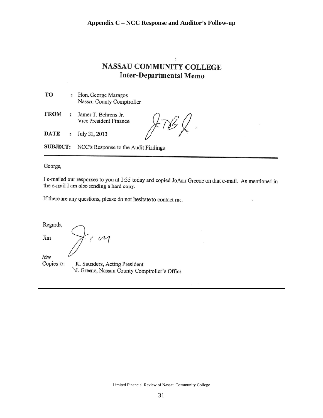# **NASSAU COMMUNITY COLLEGE Inter-Departmental Memo**

| TO | Hon. George Maragos       |
|----|---------------------------|
|    | Nassau County Comptroller |

**FROM** James T. Behrens Jr.  $\ddot{\phantom{a}}$ Vice President Finance

**DATE** : July 31, 2013

 $\chi$  .

SUBJECT: NCC's Response to the Audit Findings

George,

I e-mailed our responses to you at 1:35 today and copied JoAnn Greene on that e-mail. As mentioned in the e-mail I am also sending a hard copy.

If there are any questions, please do not hesitate to contact me.

Regards,

Jim

 $/dw$ Copies to: K. Saunders, Acting President V. Greene, Nassau County Comptroller's Office

 $\overline{\mu}$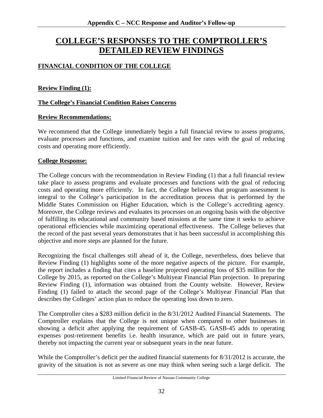# **COLLEGE'S RESPONSES TO THE COMPTROLLER'S DETAILED REVIEW FINDINGS**

# **FINANCIAL CONDITION OF THE COLLEGE**

## **Review Finding (1):**

## **The College's Financial Condition Raises Concerns**

#### **Review Recommendations:**

We recommend that the College immediately begin a full financial review to assess programs, evaluate processes and functions, and examine tuition and fee rates with the goal of reducing costs and operating more efficiently.

#### **College Response:**

The College concurs with the recommendation in Review Finding (1) that a full financial review take place to assess programs and evaluate processes and functions with the goal of reducing costs and operating more efficiently. In fact, the College believes that program assessment is integral to the College's participation in the accreditation process that is performed by the Middle States Commission on Higher Education, which is the College's accrediting agency. Moreover, the College reviews and evaluates its processes on an ongoing basis with the objective of fulfilling its educational and community based missions at the same time it seeks to achieve operational efficiencies while maximizing operational effectiveness. The College believes that the record of the past several years demonstrates that it has been successful in accomplishing this objective and more steps are planned for the future.

Recognizing the fiscal challenges still ahead of it, the College, nevertheless, does believe that Review Finding (1) highlights some of the more negative aspects of the picture. For example, the report includes a finding that cites a baseline projected operating loss of \$35 million for the College by 2015, as reported on the College's Multiyear Financial Plan projection. In preparing Review Finding (1), information was obtained from the County website. However, Review Finding (1) failed to attach the second page of the College's Multiyear Financial Plan that describes the Colleges' action plan to reduce the operating loss down to zero.

The Comptroller cites a \$283 million deficit in the 8/31/2012 Audited Financial Statements. The Comptroller explains that the College is not unique when compared to other businesses in showing a deficit after applying the requirement of GASB-45. GASB-45 adds to operating expenses post-retirement benefits i.e. health insurance, which are paid out in future years, thereby not impacting the current year or subsequent years in the near future.

While the Comptroller's deficit per the audited financial statements for 8/31/2012 is accurate, the gravity of the situation is not as severe as one may think when seeing such a large deficit. The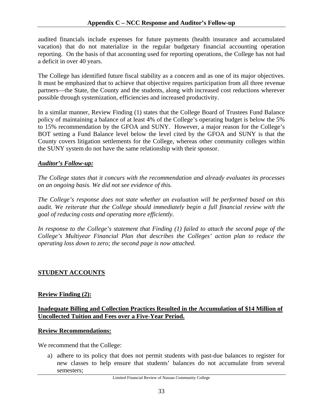audited financials include expenses for future payments (health insurance and accumulated vacation) that do not materialize in the regular budgetary financial accounting operation reporting. On the basis of that accounting used for reporting operations, the College has not had a deficit in over 40 years.

The College has identified future fiscal stability as a concern and as one of its major objectives. It must be emphasized that to achieve that objective requires participation from all three revenue partners—the State, the County and the students, along with increased cost reductions wherever possible through systemization, efficiencies and increased productivity.

In a similar manner, Review Finding (1) states that the College Board of Trustees Fund Balance policy of maintaining a balance of at least 4% of the College's operating budget is below the 5% to 15% recommendation by the GFOA and SUNY. However, a major reason for the College's BOT setting a Fund Balance level below the level cited by the GFOA and SUNY is that the County covers litigation settlements for the College, whereas other community colleges within the SUNY system do not have the same relationship with their sponsor.

# *Auditor's Follow-up:*

*The College states that it concurs with the recommendation and already evaluates its processes on an ongoing basis. We did not see evidence of this.* 

*The College's response does not state whether an evaluation will be performed based on this audit. We reiterate that the College should immediately begin a full financial review with the goal of reducing costs and operating more efficiently.* 

*In response to the College's statement that Finding (1) failed to attach the second page of the College's Multiyear Financial Plan that describes the Colleges' action plan to reduce the operating loss down to zero; the second page is now attached.* 

# **STUDENT ACCOUNTS**

# **Review Finding (2):**

## **Inadequate Billing and Collection Practices Resulted in the Accumulation of \$14 Million of Uncollected Tuition and Fees over a Five-Year Period.**

#### **Review Recommendations:**

We recommend that the College:

a) adhere to its policy that does not permit students with past-due balances to register for new classes to help ensure that students' balances do not accumulate from several semesters;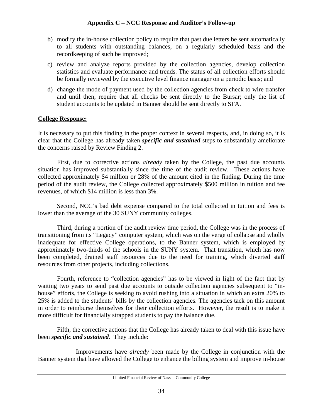- b) modify the in-house collection policy to require that past due letters be sent automatically to all students with outstanding balances, on a regularly scheduled basis and the recordkeeping of such be improved;
- c) review and analyze reports provided by the collection agencies, develop collection statistics and evaluate performance and trends. The status of all collection efforts should be formally reviewed by the executive level finance manager on a periodic basis; and
- d) change the mode of payment used by the collection agencies from check to wire transfer and until then, require that all checks be sent directly to the Bursar; only the list of student accounts to be updated in Banner should be sent directly to SFA.

## **College Response:**

It is necessary to put this finding in the proper context in several respects, and, in doing so, it is clear that the College has already taken *specific and sustained* steps to substantially ameliorate the concerns raised by Review Finding 2.

First, due to corrective actions *already* taken by the College, the past due accounts situation has improved substantially since the time of the audit review. These actions have collected approximately \$4 million or 28% of the amount cited in the finding. During the time period of the audit review, the College collected approximately \$500 million in tuition and fee revenues, of which \$14 million is less than 3%.

Second, NCC's bad debt expense compared to the total collected in tuition and fees is lower than the average of the 30 SUNY community colleges.

Third, during a portion of the audit review time period, the College was in the process of transitioning from its "Legacy" computer system, which was on the verge of collapse and wholly inadequate for effective College operations, to the Banner system, which is employed by approximately two-thirds of the schools in the SUNY system. That transition, which has now been completed, drained staff resources due to the need for training, which diverted staff resources from other projects, including collections.

Fourth, reference to "collection agencies" has to be viewed in light of the fact that by waiting two years to send past due accounts to outside collection agencies subsequent to "inhouse" efforts, the College is seeking to avoid rushing into a situation in which an extra 20% to 25% is added to the students' bills by the collection agencies. The agencies tack on this amount in order to reimburse themselves for their collection efforts. However, the result is to make it more difficult for financially strapped students to pay the balance due.

Fifth, the corrective actions that the College has already taken to deal with this issue have been *specific and sustained*. They include:

 Improvements have *already* been made by the College in conjunction with the Banner system that have allowed the College to enhance the billing system and improve in-house

Limited Financial Review of Nassau Community College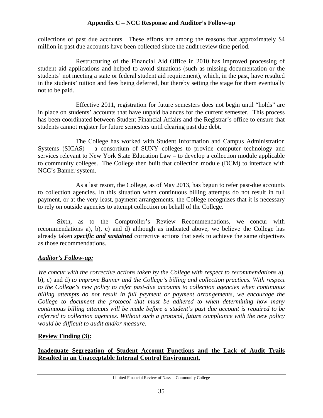collections of past due accounts. These efforts are among the reasons that approximately \$4 million in past due accounts have been collected since the audit review time period.

 Restructuring of the Financial Aid Office in 2010 has improved processing of student aid applications and helped to avoid situations (such as missing documentation or the students' not meeting a state or federal student aid requirement), which, in the past, have resulted in the students' tuition and fees being deferred, but thereby setting the stage for them eventually not to be paid.

 Effective 2011, registration for future semesters does not begin until "holds" are in place on students' accounts that have unpaid balances for the current semester. This process has been coordinated between Student Financial Affairs and the Registrar's office to ensure that students cannot register for future semesters until clearing past due debt.

 The College has worked with Student Information and Campus Administration Systems (SICAS) – a consortium of SUNY colleges to provide computer technology and services relevant to New York State Education Law – to develop a collection module applicable to community colleges. The College then built that collection module (DCM) to interface with NCC's Banner system.

 As a last resort, the College, as of May 2013, has begun to refer past-due accounts to collection agencies. In this situation when continuous billing attempts do not result in full payment, or at the very least, payment arrangements, the College recognizes that it is necessary to rely on outside agencies to attempt collection on behalf of the College.

Sixth, as to the Comptroller's Review Recommendations, we concur with recommendations a), b), c) and d) although as indicated above, we believe the College has already taken *specific and sustained* corrective actions that seek to achieve the same objectives as those recommendations.

# *Auditor's Follow-up:*

*We concur with the corrective actions taken by the College with respect to recommendations* a), b), c) and d) *to improve Banner and the College's billing and collection practices. With respect to the College's new policy to refer past-due accounts to collection agencies when continuous billing attempts do not result in full payment or payment arrangements, we encourage the College to document the protocol that must be adhered to when determining how many continuous billing attempts will be made before a student's past due account is required to be referred to collection agencies. Without such a protocol, future compliance with the new policy would be difficult to audit and/or measure.* 

# **Review Finding (3):**

**Inadequate Segregation of Student Account Functions and the Lack of Audit Trails Resulted in an Unacceptable Internal Control Environment.**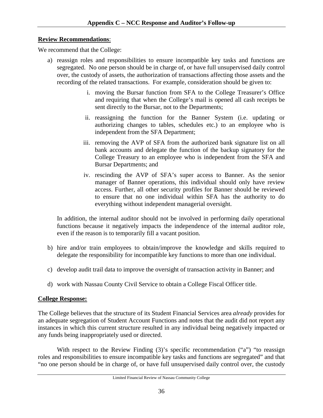# **Review Recommendations**:

We recommend that the College:

- a) reassign roles and responsibilities to ensure incompatible key tasks and functions are segregated. No one person should be in charge of, or have full unsupervised daily control over, the custody of assets, the authorization of transactions affecting those assets and the recording of the related transactions. For example, consideration should be given to:
	- i. moving the Bursar function from SFA to the College Treasurer's Office and requiring that when the College's mail is opened all cash receipts be sent directly to the Bursar, not to the Departments;
	- ii. reassigning the function for the Banner System (i.e. updating or authorizing changes to tables, schedules etc.) to an employee who is independent from the SFA Department;
	- iii. removing the AVP of SFA from the authorized bank signature list on all bank accounts and delegate the function of the backup signatory for the College Treasury to an employee who is independent from the SFA and Bursar Departments; and
	- iv. rescinding the AVP of SFA's super access to Banner. As the senior manager of Banner operations, this individual should only have review access. Further, all other security profiles for Banner should be reviewed to ensure that no one individual within SFA has the authority to do everything without independent managerial oversight.

In addition, the internal auditor should not be involved in performing daily operational functions because it negatively impacts the independence of the internal auditor role, even if the reason is to temporarily fill a vacant position.

- b) hire and/or train employees to obtain/improve the knowledge and skills required to delegate the responsibility for incompatible key functions to more than one individual.
- c) develop audit trail data to improve the oversight of transaction activity in Banner; and
- d) work with Nassau County Civil Service to obtain a College Fiscal Officer title.

# **College Response:**

The College believes that the structure of its Student Financial Services area *already* provides for an adequate segregation of Student Account Functions and notes that the audit did not report any instances in which this current structure resulted in any individual being negatively impacted or any funds being inappropriately used or directed.

With respect to the Review Finding (3)'s specific recommendation ("a") "to reassign roles and responsibilities to ensure incompatible key tasks and functions are segregated" and that "no one person should be in charge of, or have full unsupervised daily control over, the custody

Limited Financial Review of Nassau Community College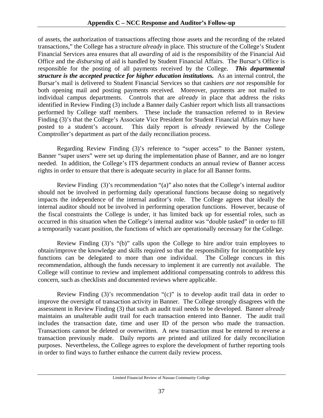of assets, the authorization of transactions affecting those assets and the recording of the related transactions," the College has a structure *already* in place. This structure of the College's Student Financial Services area ensures that all *awarding* of aid is the responsibility of the Financial Aid Office and the *disbursing* of aid is handled by Student Financial Affairs. The Bursar's Office is responsible for the posting of all payments received by the College. *This departmental structure is the accepted practice for higher education institutions.* As an internal control, the Bursar's mail is delivered to Student Financial Services so that cashiers *are not* responsible for both opening mail and posting payments received. Moreover, payments are not mailed to individual campus departments. Controls that are *already* in place that address the risks identified in Review Finding (3) include a Banner daily Cashier report which lists all transactions performed by College staff members. These include the transaction referred to in Review Finding (3)'s that the College's Associate Vice President for Student Financial Affairs may have posted to a student's account. This daily report is *already* reviewed by the College Comptroller's department as part of the daily reconciliation process.

 Regarding Review Finding (3)'s reference to "super access" to the Banner system, Banner "super users" were set up during the implementation phase of Banner, and are no longer needed. In addition, the College's ITS department conducts an annual review of Banner access rights in order to ensure that there is adequate security in place for all Banner forms.

 Review Finding (3)'s recommendation "(a)" also notes that the College's internal auditor should not be involved in performing daily operational functions because doing so negatively impacts the independence of the internal auditor's role. The College agrees that ideally the internal auditor should not be involved in performing operation functions. However, because of the fiscal constraints the College is under, it has limited back up for essential roles, such as occurred in this situation when the College's internal auditor was "double tasked" in order to fill a temporarily vacant position, the functions of which are operationally necessary for the College.

 Review Finding (3)'s "(b)" calls upon the College to hire and/or train employees to obtain/improve the knowledge and skills required so that the responsibility for incompatible key functions can be delegated to more than one individual. The College concurs in this recommendation, although the funds necessary to implement it are currently not available. The College will continue to review and implement additional compensating controls to address this concern, such as checklists and documented reviews where applicable.

 Review Finding (3)'s recommendation "(c)" is to develop audit trail data in order to improve the oversight of transaction activity in Banner. The College strongly disagrees with the assessment in Review Finding (3) that such an audit trail needs to be developed. Banner *already* maintains an unalterable audit trail for each transaction entered into Banner. The audit trail includes the transaction date, time and user ID of the person who made the transaction. Transactions cannot be deleted or overwritten. A new transaction must be entered to reverse a transaction previously made. Daily reports are printed and utilized for daily reconciliation purposes. Nevertheless, the College agrees to explore the development of further reporting tools in order to find ways to further enhance the current daily review process.

Limited Financial Review of Nassau Community College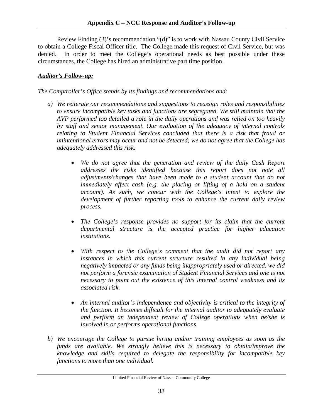Review Finding (3)'s recommendation "(d)" is to work with Nassau County Civil Service to obtain a College Fiscal Officer title. The College made this request of Civil Service, but was denied. In order to meet the College's operational needs as best possible under these circumstances, the College has hired an administrative part time position.

# *Auditor's Follow-up:*

*The Comptroller's Office stands by its findings and recommendations and:* 

- *a) We reiterate our recommendations and suggestions to reassign roles and responsibilities to ensure incompatible key tasks and functions are segregated. We still maintain that the AVP performed too detailed a role in the daily operations and was relied on too heavily by staff and senior management. Our evaluation of the adequacy of internal controls relating to Student Financial Services concluded that there is a risk that fraud or unintentional errors may occur and not be detected; we do not agree that the College has adequately addressed this risk.* 
	- We do not agree that the generation and review of the daily Cash Report *addresses the risks identified because this report does not note all adjustments/changes that have been made to a student account that do not immediately affect cash (e.g. the placing or lifting of a hold on a student account). As such, we concur with the College's intent to explore the development of further reporting tools to enhance the current daily review process.*
	- *The College's response provides no support for its claim that the current departmental structure is the accepted practice for higher education institutions.*
	- With respect to the College's comment that the audit did not report any *instances in which this current structure resulted in any individual being negatively impacted or any funds being inappropriately used or directed, we did*  not perform a forensic examination of Student Financial Services and one is not *necessary to point out the existence of this internal control weakness and its associated risk.*
	- *An internal auditor's independence and objectivity is critical to the integrity of the function. It becomes difficult for the internal auditor to adequately evaluate and perform an independent review of College operations when he/she is involved in or performs operational functions.*
- *b) We encourage the College to pursue hiring and/or training employees as soon as the funds are available. We strongly believe this is necessary to obtain/improve the knowledge and skills required to delegate the responsibility for incompatible key functions to more than one individual.*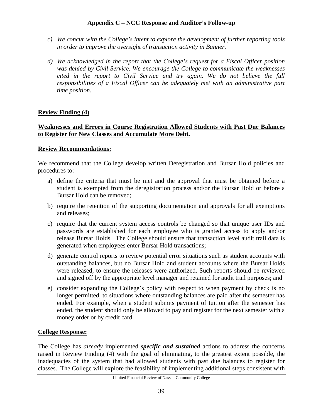- *c) We concur with the College's intent to explore the development of further reporting tools in order to improve the oversight of transaction activity in Banner.*
- *d) We acknowledged in the report that the College's request for a Fiscal Officer position was denied by Civil Service. We encourage the College to communicate the weaknesses cited in the report to Civil Service and try again. We do not believe the full responsibilities of a Fiscal Officer can be adequately met with an administrative part time position.*

# **Review Finding (4)**

## **Weaknesses and Errors in Course Registration Allowed Students with Past Due Balances to Register for New Classes and Accumulate More Debt.**

## **Review Recommendations:**

We recommend that the College develop written Deregistration and Bursar Hold policies and procedures to:

- a) define the criteria that must be met and the approval that must be obtained before a student is exempted from the deregistration process and/or the Bursar Hold or before a Bursar Hold can be removed;
- b) require the retention of the supporting documentation and approvals for all exemptions and releases;
- c) require that the current system access controls be changed so that unique user IDs and passwords are established for each employee who is granted access to apply and/or release Bursar Holds. The College should ensure that transaction level audit trail data is generated when employees enter Bursar Hold transactions;
- d) generate control reports to review potential error situations such as student accounts with outstanding balances, but no Bursar Hold and student accounts where the Bursar Holds were released, to ensure the releases were authorized. Such reports should be reviewed and signed off by the appropriate level manager and retained for audit trail purposes; and
- e) consider expanding the College's policy with respect to when payment by check is no longer permitted, to situations where outstanding balances are paid after the semester has ended. For example, when a student submits payment of tuition after the semester has ended, the student should only be allowed to pay and register for the next semester with a money order or by credit card.

# **College Response:**

The College has *already* implemented *specific and sustained* actions to address the concerns raised in Review Finding (4) with the goal of eliminating, to the greatest extent possible, the inadequacies of the system that had allowed students with past due balances to register for classes. The College will explore the feasibility of implementing additional steps consistent with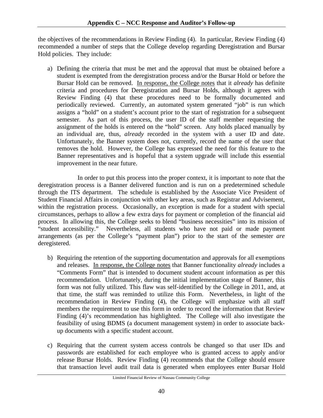the objectives of the recommendations in Review Finding (4). In particular, Review Finding (4) recommended a number of steps that the College develop regarding Deregistration and Bursar Hold policies. They include:

a) Defining the criteria that must be met and the approval that must be obtained before a student is exempted from the deregistration process and/or the Bursar Hold or before the Bursar Hold can be removed. In response, the College notes that it *already* has definite criteria and procedures for Deregistration and Bursar Holds, although it agrees with Review Finding (4) that these procedures need to be formally documented and periodically reviewed. Currently, an automated system generated "job" is run which assigns a "hold" on a student's account prior to the start of registration for a subsequent semester. As part of this process, the user ID of the staff member requesting the assignment of the holds is entered on the "hold" screen. Any holds placed manually by an individual are, thus, *already* recorded in the system with a user ID and date. Unfortunately, the Banner system does not, currently, record the name of the user that removes the hold. However, the College has expressed the need for this feature to the Banner representatives and is hopeful that a system upgrade will include this essential improvement in the near future.

 In order to put this process into the proper context, it is important to note that the deregistration process is a Banner delivered function and is run on a predetermined schedule through the ITS department. The schedule is established by the Associate Vice President of Student Financial Affairs in conjunction with other key areas, such as Registrar and Advisement, within the registration process. Occasionally, an exception is made for a student with special circumstances, perhaps to allow a few extra days for payment or completion of the financial aid process. In allowing this, the College seeks to blend "business necessities" into its mission of "student accessibility." Nevertheless, all students who have not paid or made payment arrangements (as per the College's "payment plan") prior to the start of the semester *are* deregistered.

- b) Requiring the retention of the supporting documentation and approvals for all exemptions and releases. In response, the College notes that Banner functionality *already* includes a "Comments Form" that is intended to document student account information as per this recommendation. Unfortunately, during the initial implementation stage of Banner, this form was not fully utilized. This flaw was self-identified by the College in 2011, and, at that time, the staff was reminded to utilize this Form. Nevertheless, in light of the recommendation in Review Finding (4), the College will emphasize with all staff members the requirement to use this form in order to record the information that Review Finding (4)'s recommendation has highlighted. The College will also investigate the feasibility of using BDMS (a document management system) in order to associate backup documents with a specific student account.
- c) Requiring that the current system access controls be changed so that user IDs and passwords are established for each employee who is granted access to apply and/or release Bursar Holds. Review Finding (4) recommends that the College should ensure that transaction level audit trail data is generated when employees enter Bursar Hold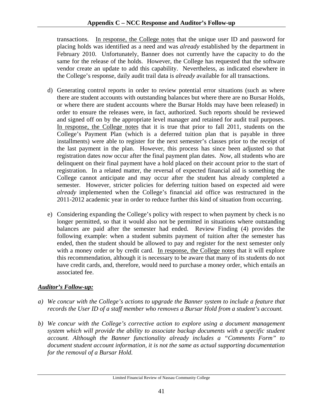transactions. In response, the College notes that the unique user ID and password for placing holds was identified as a need and was *already* established by the department in February 2010. Unfortunately, Banner does not currently have the capacity to do the same for the release of the holds. However, the College has requested that the software vendor create an update to add this capability. Nevertheless, as indicated elsewhere in the College's response, daily audit trail data is *already* available for all transactions.

- d) Generating control reports in order to review potential error situations (such as where there are student accounts with outstanding balances but where there are no Bursar Holds, or where there are student accounts where the Bursar Holds may have been released) in order to ensure the releases were, in fact, authorized. Such reports should be reviewed and signed off on by the appropriate level manager and retained for audit trail purposes. In response, the College notes that it is true that prior to fall 2011, students on the College's Payment Plan (which is a deferred tuition plan that is payable in three installments) were able to register for the next semester's classes prior to the receipt of the last payment in the plan. However, this process has since been adjusted so that registration dates *now* occur after the final payment plan dates. *Now*, all students who are delinquent on their final payment have a hold placed on their account prior to the start of registration. In a related matter, the reversal of expected financial aid is something the College cannot anticipate and may occur after the student has already completed a semester. However, stricter policies for deferring tuition based on expected aid were *already* implemented when the College's financial aid office was restructured in the 2011-2012 academic year in order to reduce further this kind of situation from occurring.
- e) Considering expanding the College's policy with respect to when payment by check is no longer permitted, so that it would also not be permitted in situations where outstanding balances are paid after the semester had ended. Review Finding (4) provides the following example: when a student submits payment of tuition after the semester has ended, then the student should be allowed to pay and register for the next semester only with a money order or by credit card. In response, the College notes that it will explore this recommendation, although it is necessary to be aware that many of its students do not have credit cards, and, therefore, would need to purchase a money order, which entails an associated fee.

# *Auditor's Follow-up:*

- *a) We concur with the College's actions to upgrade the Banner system to include a feature that records the User ID of a staff member who removes a Bursar Hold from a student's account.*
- *b) We concur with the College's corrective action to explore using a document management system which will provide the ability to associate backup documents with a specific student account. Although the Banner functionality already includes a "Comments Form" to document student account information, it is not the same as actual supporting documentation for the removal of a Bursar Hold.*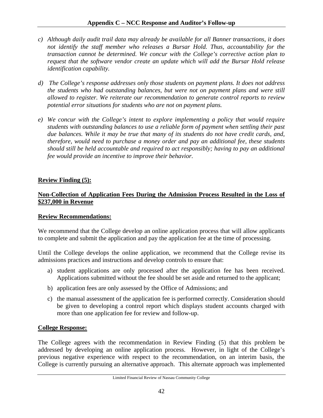- *c) Although daily audit trail data may already be available for all Banner transactions, it does*  not identify the staff member who releases a Bursar Hold. Thus, accountability for the *transaction cannot be determined. We concur with the College's corrective action plan to request that the software vendor create an update which will add the Bursar Hold release identification capability.*
- *d) The College's response addresses only those students on payment plans. It does not address the students who had outstanding balances, but were not on payment plans and were still allowed to register. We reiterate our recommendation to generate control reports to review potential error situations for students who are not on payment plans.*
- *e) We concur with the College's intent to explore implementing a policy that would require students with outstanding balances to use a reliable form of payment when settling their past due balances. While it may be true that many of its students do not have credit cards, and, therefore, would need to purchase a money order and pay an additional fee, these students should still be held accountable and required to act responsibly; having to pay an additional fee would provide an incentive to improve their behavior.*

# **Review Finding (5):**

# **Non-Collection of Application Fees During the Admission Process Resulted in the Loss of \$237,000 in Revenue**

# **Review Recommendations:**

We recommend that the College develop an online application process that will allow applicants to complete and submit the application and pay the application fee at the time of processing.

Until the College develops the online application, we recommend that the College revise its admissions practices and instructions and develop controls to ensure that:

- a) student applications are only processed after the application fee has been received. Applications submitted without the fee should be set aside and returned to the applicant;
- b) application fees are only assessed by the Office of Admissions; and
- c) the manual assessment of the application fee is performed correctly. Consideration should be given to developing a control report which displays student accounts charged with more than one application fee for review and follow-up.

# **College Response:**

The College agrees with the recommendation in Review Finding (5) that this problem be addressed by developing an online application process. However, in light of the College's previous negative experience with respect to the recommendation, on an interim basis, the College is currently pursuing an alternative approach. This alternate approach was implemented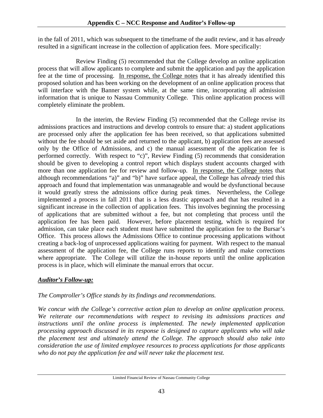in the fall of 2011, which was subsequent to the timeframe of the audit review, and it has *already* resulted in a significant increase in the collection of application fees. More specifically:

 Review Finding (5) recommended that the College develop an online application process that will allow applicants to complete and submit the application and pay the application fee at the time of processing. In response, the College notes that it has already identified this proposed solution and has been working on the development of an online application process that will interface with the Banner system while, at the same time, incorporating all admission information that is unique to Nassau Community College. This online application process will completely eliminate the problem.

 In the interim, the Review Finding (5) recommended that the College revise its admissions practices and instructions and develop controls to ensure that: a) student applications are processed only after the application fee has been received, so that applications submitted without the fee should be set aside and returned to the applicant, b) application fees are assessed only by the Office of Admissions, and c) the manual assessment of the application fee is performed correctly. With respect to "c)", Review Finding (5) recommends that consideration should be given to developing a control report which displays student accounts charged with more than one application fee for review and follow-up. In response, the College notes that although recommendations "a)" and "b)" have surface appeal, the College has *already* tried this approach and found that implementation was unmanageable and would be dysfunctional because it would greatly stress the admissions office during peak times. Nevertheless, the College implemented a process in fall 2011 that is a less drastic approach and that has resulted in a significant increase in the collection of application fees. This involves beginning the processing of applications that are submitted without a fee, but not completing that process until the application fee has been paid. However, before placement testing, which is required for admission, can take place each student must have submitted the application fee to the Bursar's Office. This process allows the Admissions Office to continue processing applications without creating a back-log of unprocessed applications waiting for payment. With respect to the manual assessment of the application fee, the College runs reports to identify and make corrections where appropriate. The College will utilize the in-house reports until the online application process is in place, which will eliminate the manual errors that occur.

# *Auditor's Follow-up:*

# *The Comptroller's Office stands by its findings and recommendations.*

*We concur with the College's corrective action plan to develop an online application process. We reiterate our recommendations with respect to revising its admissions practices and instructions until the online process is implemented. The newly implemented application processing approach discussed in its response is designed to capture applicants who will take the placement test and ultimately attend the College. The approach should also take into consideration the use of limited employee resources to process applications for those applicants who do not pay the application fee and will never take the placement test.*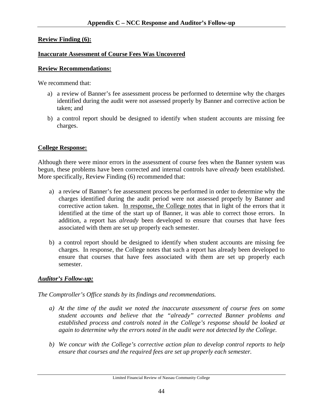## **Review Finding (6):**

## **Inaccurate Assessment of Course Fees Was Uncovered**

## **Review Recommendations:**

We recommend that:

- a) a review of Banner's fee assessment process be performed to determine why the charges identified during the audit were not assessed properly by Banner and corrective action be taken; and
- b) a control report should be designed to identify when student accounts are missing fee charges.

# **College Response:**

Although there were minor errors in the assessment of course fees when the Banner system was begun, these problems have been corrected and internal controls have *already* been established. More specifically, Review Finding (6) recommended that:

- a) a review of Banner's fee assessment process be performed in order to determine why the charges identified during the audit period were not assessed properly by Banner and corrective action taken. In response, the College notes that in light of the errors that it identified at the time of the start up of Banner, it was able to correct those errors. In addition, a report has *already* been developed to ensure that courses that have fees associated with them are set up properly each semester.
- b) a control report should be designed to identify when student accounts are missing fee charges. In response, the College notes that such a report has already been developed to ensure that courses that have fees associated with them are set up properly each semester.

# *Auditor's Follow-up:*

*The Comptroller's Office stands by its findings and recommendations.* 

- *a) At the time of the audit we noted the inaccurate assessment of course fees on some student accounts and believe that the "already" corrected Banner problems and established process and controls noted in the College's response should be looked at again to determine why the errors noted in the audit were not detected by the College.*
- *b) We concur with the College's corrective action plan to develop control reports to help ensure that courses and the required fees are set up properly each semester.*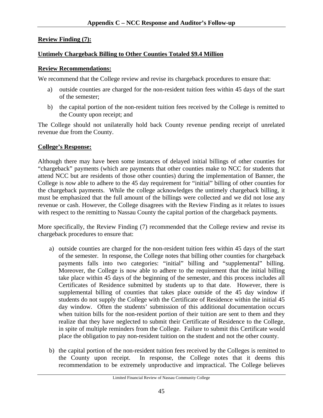## **Review Finding (7):**

## **Untimely Chargeback Billing to Other Counties Totaled \$9.4 Million**

#### **Review Recommendations:**

We recommend that the College review and revise its chargeback procedures to ensure that:

- a) outside counties are charged for the non-resident tuition fees within 45 days of the start of the semester;
- b) the capital portion of the non-resident tuition fees received by the College is remitted to the County upon receipt; and

The College should not unilaterally hold back County revenue pending receipt of unrelated revenue due from the County.

#### **College's Response:**

Although there may have been some instances of delayed initial billings of other counties for "chargeback" payments (which are payments that other counties make to NCC for students that attend NCC but are residents of those other counties) during the implementation of Banner, the College is *now* able to adhere to the 45 day requirement for "initial" billing of other counties for the chargeback payments. While the college acknowledges the untimely chargeback billing, it must be emphasized that the full amount of the billings were collected and we did not lose any revenue or cash. However, the College disagrees with the Review Finding as it relates to issues with respect to the remitting to Nassau County the capital portion of the chargeback payments.

More specifically, the Review Finding (7) recommended that the College review and revise its chargeback procedures to ensure that:

- a) outside counties are charged for the non-resident tuition fees within 45 days of the start of the semester. In response, the College notes that billing other counties for chargeback payments falls into two categories: "initial" billing and "supplemental" billing. Moreover, the College is now able to adhere to the requirement that the initial billing take place within 45 days of the beginning of the semester, and this process includes all Certificates of Residence submitted by students up to that date. However, there is supplemental billing of counties that takes place outside of the 45 day window if students do not supply the College with the Certificate of Residence within the initial 45 day window. Often the students' submission of this additional documentation occurs when tuition bills for the non-resident portion of their tuition are sent to them and they realize that they have neglected to submit their Certificate of Residence to the College, in spite of multiple reminders from the College. Failure to submit this Certificate would place the obligation to pay non-resident tuition on the student and not the other county.
- b) the capital portion of the non-resident tuition fees received by the Colleges is remitted to the County upon receipt. In response, the College notes that it deems this recommendation to be extremely unproductive and impractical. The College believes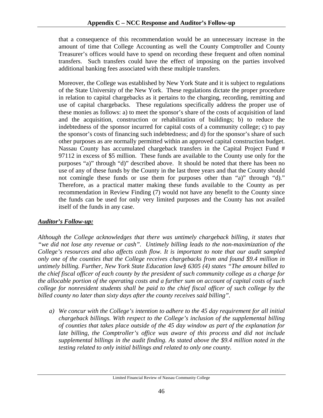that a consequence of this recommendation would be an unnecessary increase in the amount of time that College Accounting as well the County Comptroller and County Treasurer's offices would have to spend on recording these frequent and often nominal transfers. Such transfers could have the effect of imposing on the parties involved additional banking fees associated with these multiple transfers.

Moreover, the College was established by New York State and it is subject to regulations of the State University of the New York. These regulations dictate the proper procedure in relation to capital chargebacks as it pertains to the charging, recording, remitting and use of capital chargebacks. These regulations specifically address the proper use of these monies as follows: a) to meet the sponsor's share of the costs of acquisition of land and the acquisition, construction or rehabilitation of buildings; b) to reduce the indebtedness of the sponsor incurred for capital costs of a community college; c) to pay the sponsor's costs of financing such indebtedness; and d) for the sponsor's share of such other purposes as are normally permitted within an approved capital construction budget. Nassau County has accumulated chargeback transfers in the Capital Project Fund # 97112 in excess of \$5 million. These funds are available to the County use only for the purposes "a)" through "d)" described above. It should be noted that there has been no use of any of these funds by the County in the last three years and that the County should not comingle these funds or use them for purposes other than "a)" through "d)." Therefore, as a practical matter making these funds available to the County as per recommendation in Review Finding (7) would not have any benefit to the County since the funds can be used for only very limited purposes and the County has not availed itself of the funds in any case.

# *Auditor's Follow-up:*

*Although the College acknowledges that there was untimely chargeback billing, it states that "we did not lose any revenue or cash". Untimely billing leads to the non-maximization of the College's resources and also affects cash flow. It is important to note that our audit sampled only one of the counties that the College receives chargebacks from and found \$9.4 million in untimely billing. Further, New York State Education law§ 6305 (4) states "The amount billed to the chief fiscal officer of each county by the president of such community college as a charge for the allocable portion of the operating costs and a further sum on account of capital costs of such college for nonresident students shall be paid to the chief fiscal officer of such college by the billed county no later than sixty days after the county receives said billing".* 

*a) We concur with the College's intention to adhere to the 45 day requirement for all initial chargeback billings. With respect to the College's inclusion of the supplemental billing of counties that takes place outside of the 45 day window as part of the explanation for late billing, the Comptroller's office was aware of this process and did not include supplemental billings in the audit finding. As stated above the \$9.4 million noted in the testing related to only initial billings and related to only one county.*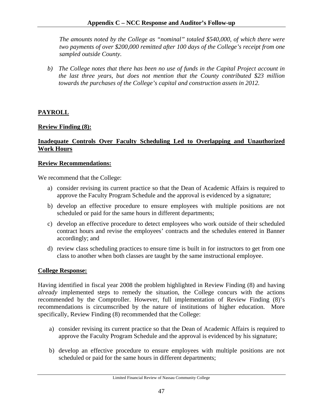*The amounts noted by the College as "nominal" totaled \$540,000, of which there were two payments of over \$200,000 remitted after 100 days of the College's receipt from one sampled outside County.* 

*b) The College notes that there has been no use of funds in the Capital Project account in the last three years, but does not mention that the County contributed \$23 million towards the purchases of the College's capital and construction assets in 2012.* 

# **PAYROLL**

## **Review Finding (8):**

# **Inadequate Controls Over Faculty Scheduling Led to Overlapping and Unauthorized Work Hours**

#### **Review Recommendations:**

We recommend that the College:

- a) consider revising its current practice so that the Dean of Academic Affairs is required to approve the Faculty Program Schedule and the approval is evidenced by a signature;
- b) develop an effective procedure to ensure employees with multiple positions are not scheduled or paid for the same hours in different departments;
- c) develop an effective procedure to detect employees who work outside of their scheduled contract hours and revise the employees' contracts and the schedules entered in Banner accordingly; and
- d) review class scheduling practices to ensure time is built in for instructors to get from one class to another when both classes are taught by the same instructional employee.

#### **College Response:**

Having identified in fiscal year 2008 the problem highlighted in Review Finding (8) and having *already* implemented steps to remedy the situation, the College concurs with the actions recommended by the Comptroller. However, full implementation of Review Finding (8)'s recommendations is circumscribed by the nature of institutions of higher education. More specifically, Review Finding (8) recommended that the College:

- a) consider revising its current practice so that the Dean of Academic Affairs is required to approve the Faculty Program Schedule and the approval is evidenced by his signature;
- b) develop an effective procedure to ensure employees with multiple positions are not scheduled or paid for the same hours in different departments;

Limited Financial Review of Nassau Community College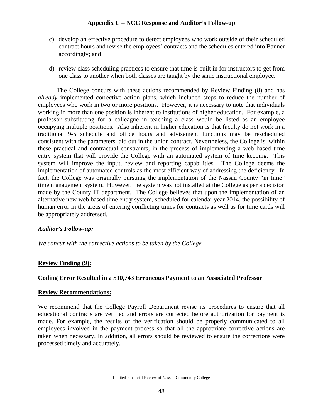- c) develop an effective procedure to detect employees who work outside of their scheduled contract hours and revise the employees' contracts and the schedules entered into Banner accordingly; and
- d) review class scheduling practices to ensure that time is built in for instructors to get from one class to another when both classes are taught by the same instructional employee.

 The College concurs with these actions recommended by Review Finding (8) and has *already* implemented corrective action plans, which included steps to reduce the number of employees who work in two or more positions. However, it is necessary to note that individuals working in more than one position is inherent to institutions of higher education. For example, a professor substituting for a colleague in teaching a class would be listed as an employee occupying multiple positions. Also inherent in higher education is that faculty do not work in a traditional 9-5 schedule and office hours and advisement functions may be rescheduled consistent with the parameters laid out in the union contract. Nevertheless, the College is, within these practical and contractual constraints, in the process of implementing a web based time entry system that will provide the College with an automated system of time keeping. This system will improve the input, review and reporting capabilities. The College deems the implementation of automated controls as the most efficient way of addressing the deficiency. In fact, the College was originally pursuing the implementation of the Nassau County "in time" time management system. However, the system was not installed at the College as per a decision made by the County IT department. The College believes that upon the implementation of an alternative new web based time entry system, scheduled for calendar year 2014, the possibility of human error in the areas of entering conflicting times for contracts as well as for time cards will be appropriately addressed.

# *Auditor's Follow-up:*

*We concur with the corrective actions to be taken by the College.* 

# **Review Finding (9):**

# **Coding Error Resulted in a \$10,743 Erroneous Payment to an Associated Professor**

# **Review Recommendations:**

We recommend that the College Payroll Department revise its procedures to ensure that all educational contracts are verified and errors are corrected before authorization for payment is made. For example, the results of the verification should be properly communicated to all employees involved in the payment process so that all the appropriate corrective actions are taken when necessary. In addition, all errors should be reviewed to ensure the corrections were processed timely and accurately.

Limited Financial Review of Nassau Community College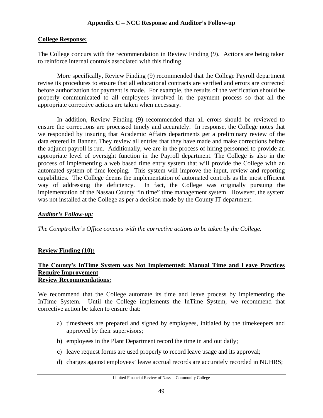## **College Response:**

The College concurs with the recommendation in Review Finding (9). Actions are being taken to reinforce internal controls associated with this finding.

More specifically, Review Finding (9) recommended that the College Payroll department revise its procedures to ensure that all educational contracts are verified and errors are corrected before authorization for payment is made. For example, the results of the verification should be properly communicated to all employees involved in the payment process so that all the appropriate corrective actions are taken when necessary.

 In addition, Review Finding (9) recommended that all errors should be reviewed to ensure the corrections are processed timely and accurately. In response, the College notes that we responded by insuring that Academic Affairs departments get a preliminary review of the data entered in Banner. They review all entries that they have made and make corrections before the adjunct payroll is run. Additionally, we are in the process of hiring personnel to provide an appropriate level of oversight function in the Payroll department. The College is also in the process of implementing a web based time entry system that will provide the College with an automated system of time keeping. This system will improve the input, review and reporting capabilities. The College deems the implementation of automated controls as the most efficient way of addressing the deficiency. In fact, the College was originally pursuing the implementation of the Nassau County "in time" time management system. However, the system was not installed at the College as per a decision made by the County IT department.

# *Auditor's Follow-up:*

*The Comptroller's Office concurs with the corrective actions to be taken by the College.* 

# **Review Finding (10):**

#### **The County's InTime System was Not Implemented: Manual Time and Leave Practices Require Improvement Review Recommendations:**

We recommend that the College automate its time and leave process by implementing the InTime System. Until the College implements the InTime System, we recommend that corrective action be taken to ensure that:

- a) timesheets are prepared and signed by employees, initialed by the timekeepers and approved by their supervisors;
- b) employees in the Plant Department record the time in and out daily;
- c) leave request forms are used properly to record leave usage and its approval;
- d) charges against employees' leave accrual records are accurately recorded in NUHRS;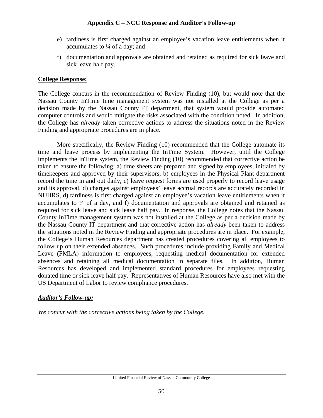- e) tardiness is first charged against an employee's vacation leave entitlements when it accumulates to ¼ of a day; and
- f) documentation and approvals are obtained and retained as required for sick leave and sick leave half pay.

# **College Response:**

The College concurs in the recommendation of Review Finding (10), but would note that the Nassau County InTime time management system was not installed at the College as per a decision made by the Nassau County IT department, that system would provide automated computer controls and would mitigate the risks associated with the condition noted. In addition, the College has *already* taken corrective actions to address the situations noted in the Review Finding and appropriate procedures are in place.

 More specifically, the Review Finding (10) recommended that the College automate its time and leave process by implementing the InTime System. However, until the College implements the InTime system, the Review Finding (10) recommended that corrective action be taken to ensure the following: a) time sheets are prepared and signed by employees, initialed by timekeepers and approved by their supervisors, b) employees in the Physical Plant department record the time in and out daily, c) leave request forms are used properly to record leave usage and its approval, d) charges against employees' leave accrual records are accurately recorded in NUHRS, d) tardiness is first charged against an employee's vacation leave entitlements when it accumulates to ¼ of a day, and f) documentation and approvals are obtained and retained as required for sick leave and sick leave half pay. In response, the College notes that the Nassau County InTime management system was not installed at the College as per a decision made by the Nassau County IT department and that corrective action has *already* been taken to address the situations noted in the Review Finding and appropriate procedures are in place. For example, the College's Human Resources department has created procedures covering all employees to follow up on their extended absences. Such procedures include providing Family and Medical Leave (FMLA) information to employees, requesting medical documentation for extended absences and retaining all medical documentation in separate files. In addition, Human Resources has developed and implemented standard procedures for employees requesting donated time or sick leave half pay. Representatives of Human Resources have also met with the US Department of Labor to review compliance procedures.

# *Auditor's Follow-up:*

*We concur with the corrective actions being taken by the College.*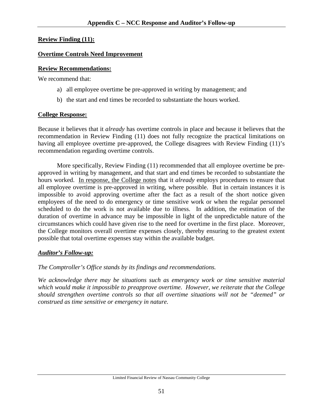#### **Review Finding (11):**

#### **Overtime Controls Need Improvement**

## **Review Recommendations:**

We recommend that:

- a) all employee overtime be pre-approved in writing by management; and
- b) the start and end times be recorded to substantiate the hours worked.

# **College Response:**

Because it believes that it *already* has overtime controls in place and because it believes that the recommendation in Review Finding (11) does not fully recognize the practical limitations on having all employee overtime pre-approved, the College disagrees with Review Finding (11)'s recommendation regarding overtime controls.

 More specifically, Review Finding (11) recommended that all employee overtime be preapproved in writing by management, and that start and end times be recorded to substantiate the hours worked. In response, the College notes that it *already* employs procedures to ensure that all employee overtime is pre-approved in writing, where possible. But in certain instances it is impossible to avoid approving overtime after the fact as a result of the short notice given employees of the need to do emergency or time sensitive work or when the regular personnel scheduled to do the work is not available due to illness. In addition, the estimation of the duration of overtime in advance may be impossible in light of the unpredictable nature of the circumstances which could have given rise to the need for overtime in the first place. Moreover, the College monitors overall overtime expenses closely, thereby ensuring to the greatest extent possible that total overtime expenses stay within the available budget.

# *Auditor's Follow-up:*

# *The Comptroller's Office stands by its findings and recommendations.*

*We acknowledge there may be situations such as emergency work or time sensitive material which would make it impossible to preapprove overtime. However, we reiterate that the College should strengthen overtime controls so that all overtime situations will not be "deemed" or construed as time sensitive or emergency in nature.*